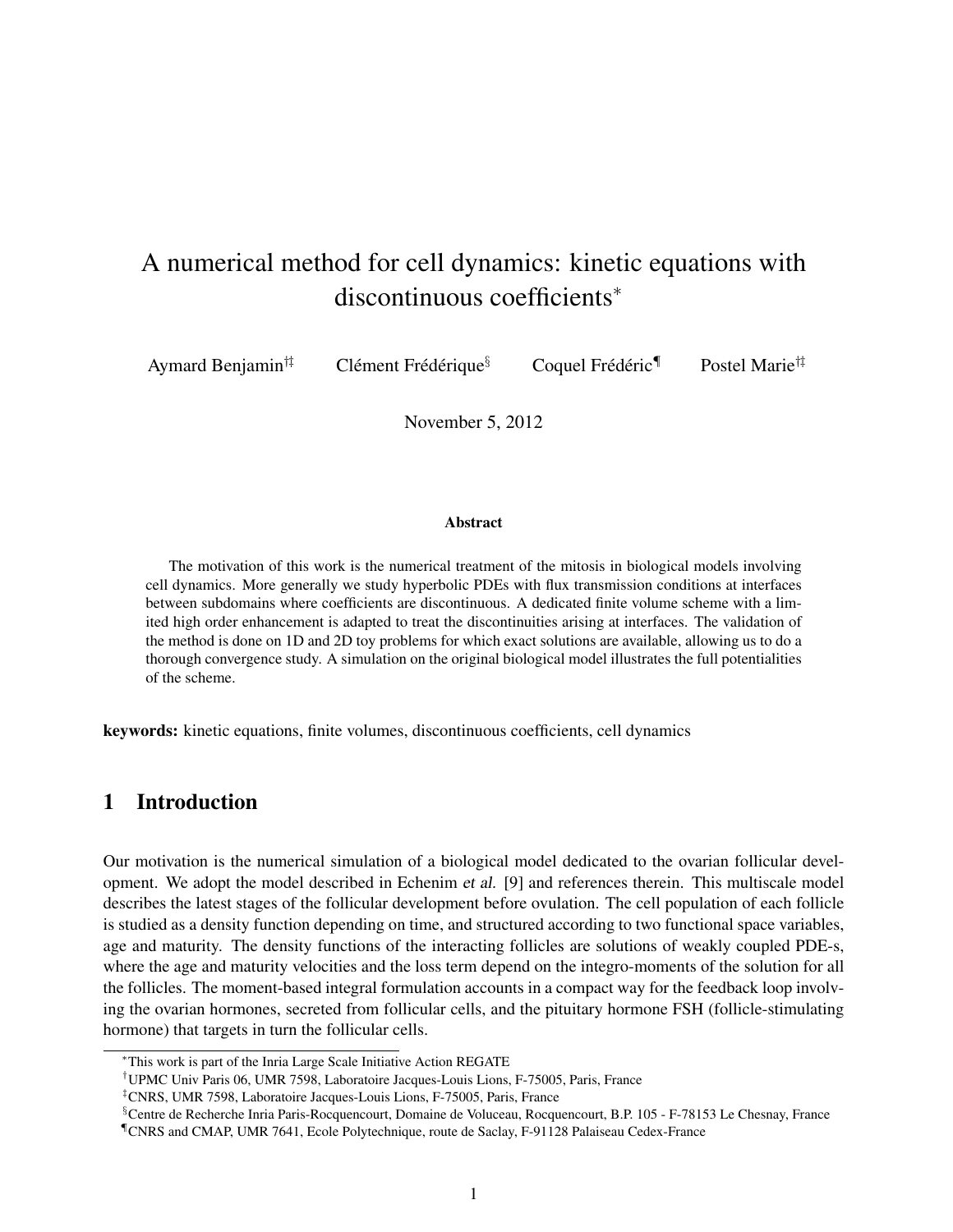# A numerical method for cell dynamics: kinetic equations with discontinuous coefficients<sup>∗</sup>

|  | Aymard Benjamin <sup>††</sup> | Clément Frédérique $\delta$ | Coquel Frédéric <sup>¶</sup> | Postel Marie <sup>†‡</sup> |
|--|-------------------------------|-----------------------------|------------------------------|----------------------------|
|--|-------------------------------|-----------------------------|------------------------------|----------------------------|

November 5, 2012

#### Abstract

The motivation of this work is the numerical treatment of the mitosis in biological models involving cell dynamics. More generally we study hyperbolic PDEs with flux transmission conditions at interfaces between subdomains where coefficients are discontinuous. A dedicated finite volume scheme with a limited high order enhancement is adapted to treat the discontinuities arising at interfaces. The validation of the method is done on 1D and 2D toy problems for which exact solutions are available, allowing us to do a thorough convergence study. A simulation on the original biological model illustrates the full potentialities of the scheme.

keywords: kinetic equations, finite volumes, discontinuous coefficients, cell dynamics

# 1 Introduction

Our motivation is the numerical simulation of a biological model dedicated to the ovarian follicular development. We adopt the model described in Echenim et al. [9] and references therein. This multiscale model describes the latest stages of the follicular development before ovulation. The cell population of each follicle is studied as a density function depending on time, and structured according to two functional space variables, age and maturity. The density functions of the interacting follicles are solutions of weakly coupled PDE-s, where the age and maturity velocities and the loss term depend on the integro-moments of the solution for all the follicles. The moment-based integral formulation accounts in a compact way for the feedback loop involving the ovarian hormones, secreted from follicular cells, and the pituitary hormone FSH (follicle-stimulating hormone) that targets in turn the follicular cells.

<sup>∗</sup>This work is part of the Inria Large Scale Initiative Action REGATE

<sup>†</sup>UPMC Univ Paris 06, UMR 7598, Laboratoire Jacques-Louis Lions, F-75005, Paris, France

<sup>‡</sup>CNRS, UMR 7598, Laboratoire Jacques-Louis Lions, F-75005, Paris, France

<sup>§</sup>Centre de Recherche Inria Paris-Rocquencourt, Domaine de Voluceau, Rocquencourt, B.P. 105 - F-78153 Le Chesnay, France ¶CNRS and CMAP, UMR 7641, Ecole Polytechnique, route de Saclay, F-91128 Palaiseau Cedex-France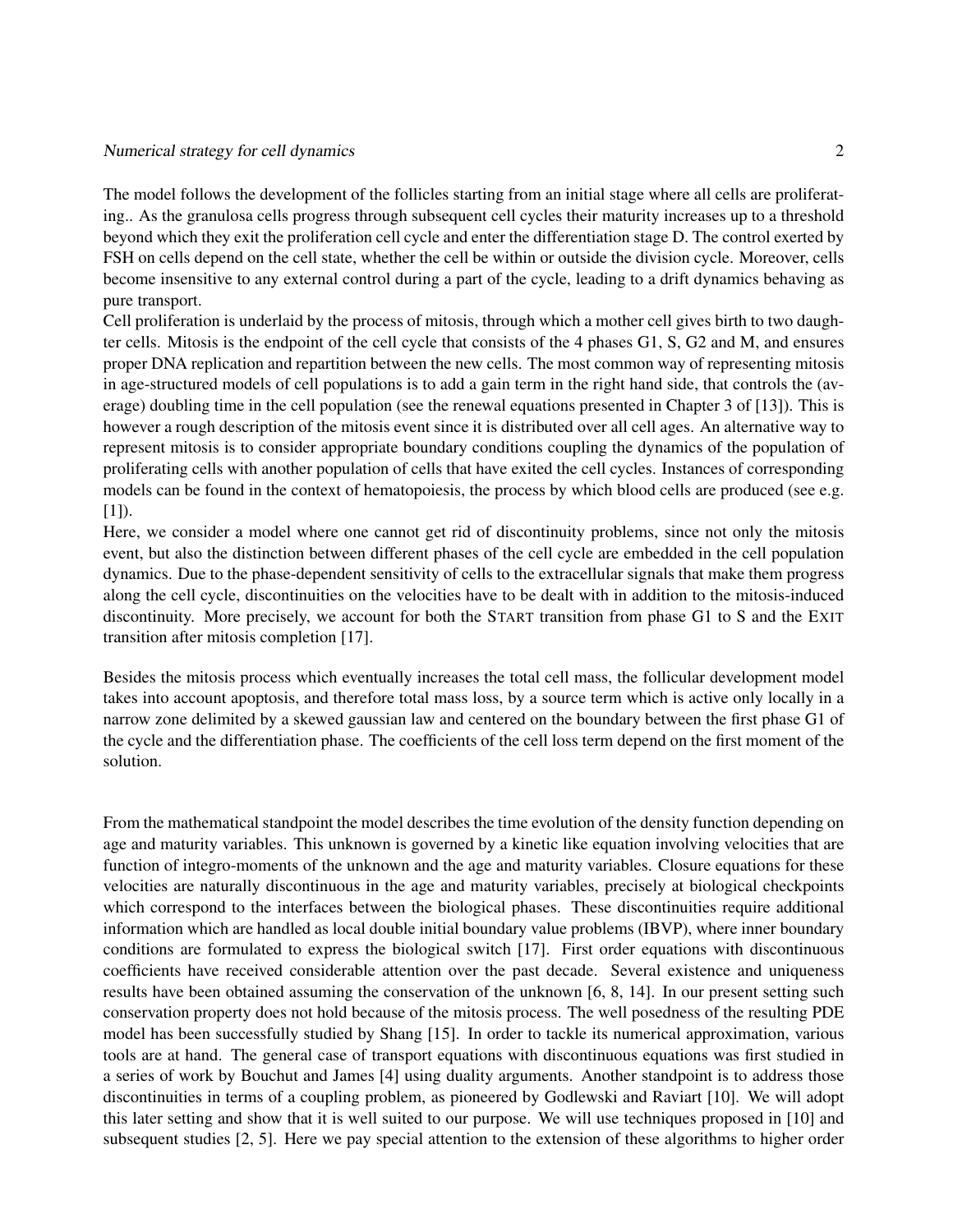The model follows the development of the follicles starting from an initial stage where all cells are proliferating.. As the granulosa cells progress through subsequent cell cycles their maturity increases up to a threshold beyond which they exit the proliferation cell cycle and enter the differentiation stage D. The control exerted by FSH on cells depend on the cell state, whether the cell be within or outside the division cycle. Moreover, cells become insensitive to any external control during a part of the cycle, leading to a drift dynamics behaving as pure transport.

Cell proliferation is underlaid by the process of mitosis, through which a mother cell gives birth to two daughter cells. Mitosis is the endpoint of the cell cycle that consists of the 4 phases G1, S, G2 and M, and ensures proper DNA replication and repartition between the new cells. The most common way of representing mitosis in age-structured models of cell populations is to add a gain term in the right hand side, that controls the (average) doubling time in the cell population (see the renewal equations presented in Chapter 3 of [13]). This is however a rough description of the mitosis event since it is distributed over all cell ages. An alternative way to represent mitosis is to consider appropriate boundary conditions coupling the dynamics of the population of proliferating cells with another population of cells that have exited the cell cycles. Instances of corresponding models can be found in the context of hematopoiesis, the process by which blood cells are produced (see e.g.  $[1]$ ).

Here, we consider a model where one cannot get rid of discontinuity problems, since not only the mitosis event, but also the distinction between different phases of the cell cycle are embedded in the cell population dynamics. Due to the phase-dependent sensitivity of cells to the extracellular signals that make them progress along the cell cycle, discontinuities on the velocities have to be dealt with in addition to the mitosis-induced discontinuity. More precisely, we account for both the START transition from phase G1 to S and the EXIT transition after mitosis completion [17].

Besides the mitosis process which eventually increases the total cell mass, the follicular development model takes into account apoptosis, and therefore total mass loss, by a source term which is active only locally in a narrow zone delimited by a skewed gaussian law and centered on the boundary between the first phase G1 of the cycle and the differentiation phase. The coefficients of the cell loss term depend on the first moment of the solution.

From the mathematical standpoint the model describes the time evolution of the density function depending on age and maturity variables. This unknown is governed by a kinetic like equation involving velocities that are function of integro-moments of the unknown and the age and maturity variables. Closure equations for these velocities are naturally discontinuous in the age and maturity variables, precisely at biological checkpoints which correspond to the interfaces between the biological phases. These discontinuities require additional information which are handled as local double initial boundary value problems (IBVP), where inner boundary conditions are formulated to express the biological switch [17]. First order equations with discontinuous coefficients have received considerable attention over the past decade. Several existence and uniqueness results have been obtained assuming the conservation of the unknown [6, 8, 14]. In our present setting such conservation property does not hold because of the mitosis process. The well posedness of the resulting PDE model has been successfully studied by Shang [15]. In order to tackle its numerical approximation, various tools are at hand. The general case of transport equations with discontinuous equations was first studied in a series of work by Bouchut and James [4] using duality arguments. Another standpoint is to address those discontinuities in terms of a coupling problem, as pioneered by Godlewski and Raviart [10]. We will adopt this later setting and show that it is well suited to our purpose. We will use techniques proposed in [10] and subsequent studies [2, 5]. Here we pay special attention to the extension of these algorithms to higher order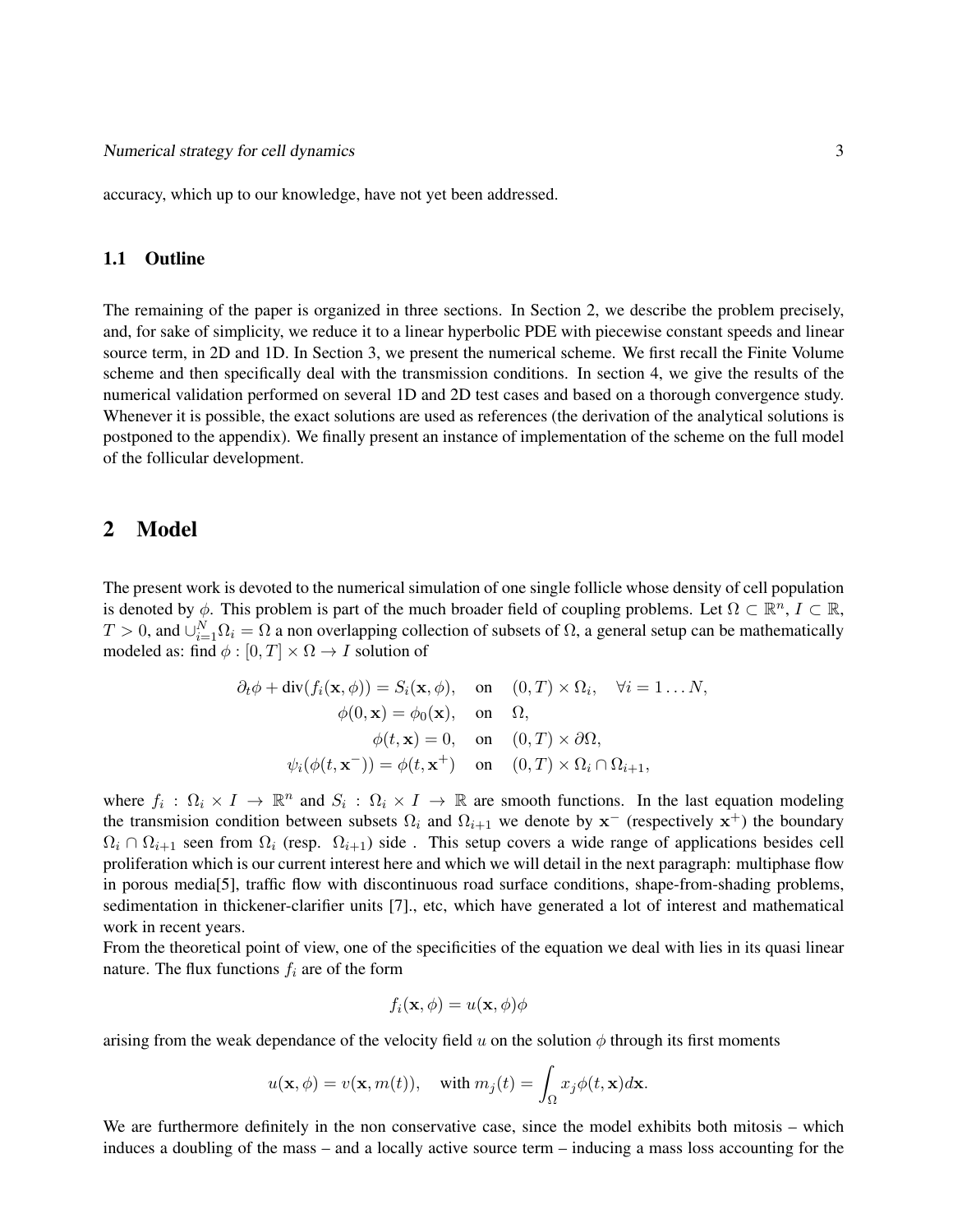accuracy, which up to our knowledge, have not yet been addressed.

## 1.1 Outline

The remaining of the paper is organized in three sections. In Section 2, we describe the problem precisely, and, for sake of simplicity, we reduce it to a linear hyperbolic PDE with piecewise constant speeds and linear source term, in 2D and 1D. In Section 3, we present the numerical scheme. We first recall the Finite Volume scheme and then specifically deal with the transmission conditions. In section 4, we give the results of the numerical validation performed on several 1D and 2D test cases and based on a thorough convergence study. Whenever it is possible, the exact solutions are used as references (the derivation of the analytical solutions is postponed to the appendix). We finally present an instance of implementation of the scheme on the full model of the follicular development.

# 2 Model

The present work is devoted to the numerical simulation of one single follicle whose density of cell population is denoted by  $\phi$ . This problem is part of the much broader field of coupling problems. Let  $\Omega \subset \mathbb{R}^n$ ,  $I \subset \mathbb{R}$ ,  $T > 0$ , and  $\cup_{i=1}^{N} \Omega_i = \Omega$  a non overlapping collection of subsets of  $\Omega$ , a general setup can be mathematically modeled as: find  $\phi : [0, T] \times \Omega \rightarrow I$  solution of

$$
\partial_t \phi + \text{div}(f_i(\mathbf{x}, \phi)) = S_i(\mathbf{x}, \phi), \quad \text{on} \quad (0, T) \times \Omega_i, \quad \forall i = 1 \dots N, \phi(0, \mathbf{x}) = \phi_0(\mathbf{x}), \quad \text{on} \quad \Omega, \phi(t, \mathbf{x}) = 0, \quad \text{on} \quad (0, T) \times \partial \Omega, \psi_i(\phi(t, \mathbf{x}^-)) = \phi(t, \mathbf{x}^+) \quad \text{on} \quad (0, T) \times \Omega_i \cap \Omega_{i+1},
$$

where  $f_i: \Omega_i \times I \to \mathbb{R}^n$  and  $S_i: \Omega_i \times I \to \mathbb{R}$  are smooth functions. In the last equation modeling the transmision condition between subsets  $\Omega_i$  and  $\Omega_{i+1}$  we denote by  $x^-$  (respectively  $x^+$ ) the boundary  $\Omega_i \cap \Omega_{i+1}$  seen from  $\Omega_i$  (resp.  $\Omega_{i+1}$ ) side. This setup covers a wide range of applications besides cell proliferation which is our current interest here and which we will detail in the next paragraph: multiphase flow in porous media[5], traffic flow with discontinuous road surface conditions, shape-from-shading problems, sedimentation in thickener-clarifier units [7]., etc, which have generated a lot of interest and mathematical work in recent years.

From the theoretical point of view, one of the specificities of the equation we deal with lies in its quasi linear nature. The flux functions  $f_i$  are of the form

$$
f_i(\mathbf{x},\phi) = u(\mathbf{x},\phi)\phi
$$

arising from the weak dependance of the velocity field  $u$  on the solution  $\phi$  through its first moments

$$
u(\mathbf{x}, \phi) = v(\mathbf{x}, m(t)),
$$
 with  $m_j(t) = \int_{\Omega} x_j \phi(t, \mathbf{x}) d\mathbf{x}.$ 

We are furthermore definitely in the non conservative case, since the model exhibits both mitosis – which induces a doubling of the mass – and a locally active source term – inducing a mass loss accounting for the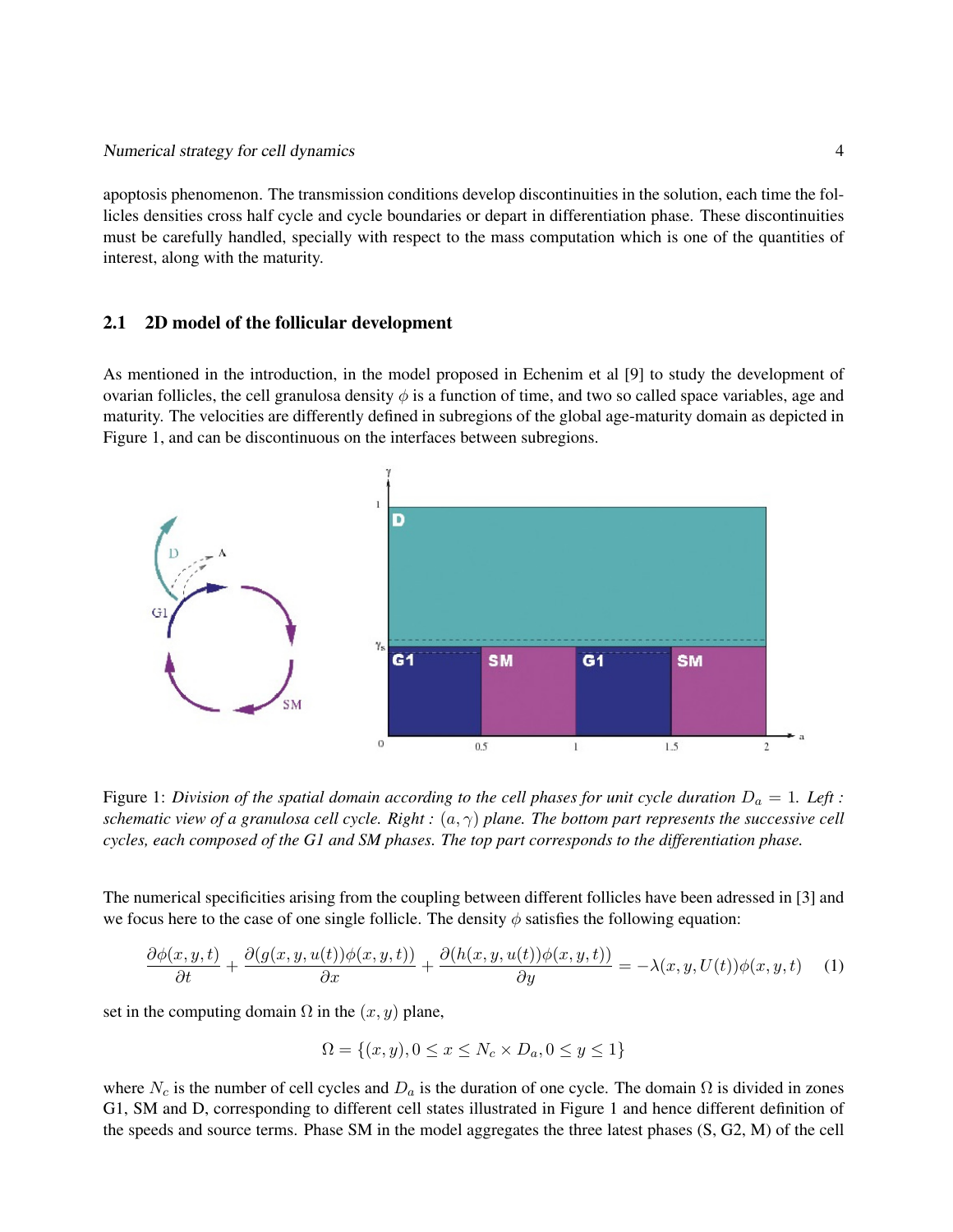apoptosis phenomenon. The transmission conditions develop discontinuities in the solution, each time the follicles densities cross half cycle and cycle boundaries or depart in differentiation phase. These discontinuities must be carefully handled, specially with respect to the mass computation which is one of the quantities of interest, along with the maturity.

#### 2.1 2D model of the follicular development

As mentioned in the introduction, in the model proposed in Echenim et al [9] to study the development of ovarian follicles, the cell granulosa density  $\phi$  is a function of time, and two so called space variables, age and maturity. The velocities are differently defined in subregions of the global age-maturity domain as depicted in Figure 1, and can be discontinuous on the interfaces between subregions.



Figure 1: *Division of the spatial domain according to the cell phases for unit cycle duration*  $D_a = 1$ *. Left : schematic view of a granulosa cell cycle. Right :* (a, γ) *plane. The bottom part represents the successive cell cycles, each composed of the G1 and SM phases. The top part corresponds to the differentiation phase.*

The numerical specificities arising from the coupling between different follicles have been adressed in [3] and we focus here to the case of one single follicle. The density  $\phi$  satisfies the following equation:

$$
\frac{\partial \phi(x,y,t)}{\partial t} + \frac{\partial (g(x,y,u(t))\phi(x,y,t))}{\partial x} + \frac{\partial (h(x,y,u(t))\phi(x,y,t))}{\partial y} = -\lambda(x,y,U(t))\phi(x,y,t) \quad (1)
$$

set in the computing domain  $\Omega$  in the  $(x, y)$  plane,

$$
\Omega = \{(x, y), 0 \le x \le N_c \times D_a, 0 \le y \le 1\}
$$

where  $N_c$  is the number of cell cycles and  $D_a$  is the duration of one cycle. The domain  $\Omega$  is divided in zones G1, SM and D, corresponding to different cell states illustrated in Figure 1 and hence different definition of the speeds and source terms. Phase SM in the model aggregates the three latest phases (S, G2, M) of the cell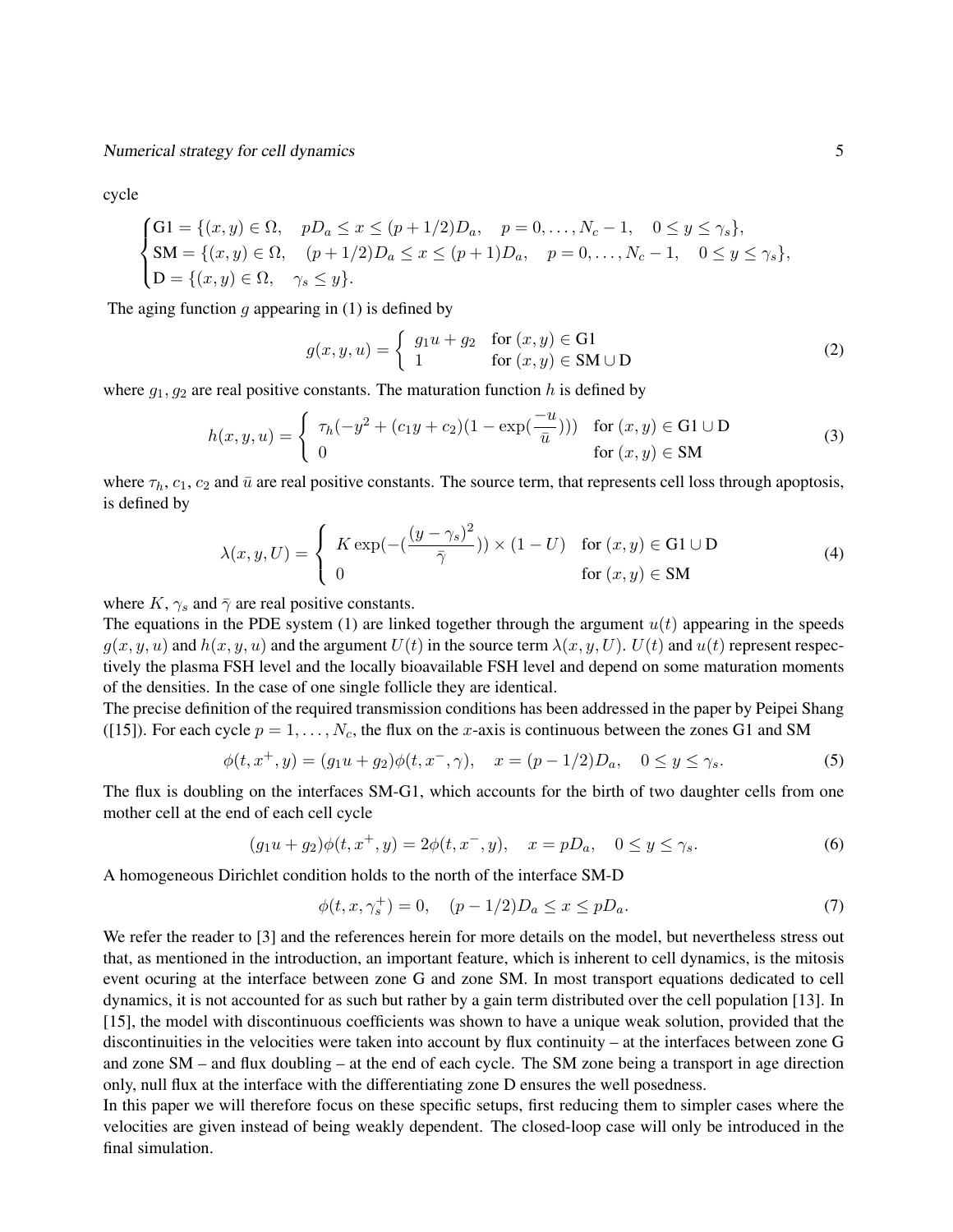cycle

$$
\begin{cases}\nG1 = \{(x, y) \in \Omega, & pD_a \le x \le (p + 1/2)D_a, \quad p = 0, \dots, N_c - 1, \quad 0 \le y \le \gamma_s\}, \\
SM = \{(x, y) \in \Omega, \quad (p + 1/2)D_a \le x \le (p + 1)D_a, \quad p = 0, \dots, N_c - 1, \quad 0 \le y \le \gamma_s\}, \\
D = \{(x, y) \in \Omega, \quad \gamma_s \le y\}.\n\end{cases}
$$

The aging function  $g$  appearing in (1) is defined by

$$
g(x, y, u) = \begin{cases} g_1 u + g_2 & \text{for } (x, y) \in \text{GI} \\ 1 & \text{for } (x, y) \in \text{SM} \cup \text{D} \end{cases}
$$
 (2)

where  $g_1, g_2$  are real positive constants. The maturation function h is defined by

$$
h(x, y, u) = \begin{cases} \tau_h(-y^2 + (c_1y + c_2)(1 - \exp(\frac{-u}{\bar{u}}))) & \text{for } (x, y) \in \text{GI} \cup \text{D} \\ 0 & \text{for } (x, y) \in \text{SM} \end{cases}
$$
(3)

where  $\tau_h$ ,  $c_1$ ,  $c_2$  and  $\bar{u}$  are real positive constants. The source term, that represents cell loss through apoptosis, is defined by

$$
\lambda(x, y, U) = \begin{cases}\nK \exp\left(-\left(\frac{(y - \gamma_s)^2}{\bar{\gamma}}\right)\right) \times (1 - U) & \text{for } (x, y) \in \text{G1} \cup \text{D} \\
0 & \text{for } (x, y) \in \text{SM}\n\end{cases}
$$
\n(4)

where  $K$ ,  $\gamma_s$  and  $\bar{\gamma}$  are real positive constants.

The equations in the PDE system (1) are linked together through the argument  $u(t)$  appearing in the speeds  $g(x, y, u)$  and  $h(x, y, u)$  and the argument  $U(t)$  in the source term  $\lambda(x, y, U)$ .  $U(t)$  and  $u(t)$  represent respectively the plasma FSH level and the locally bioavailable FSH level and depend on some maturation moments of the densities. In the case of one single follicle they are identical.

The precise definition of the required transmission conditions has been addressed in the paper by Peipei Shang ([15]). For each cycle  $p = 1, ..., N_c$ , the flux on the x-axis is continuous between the zones G1 and SM

$$
\phi(t, x^+, y) = (g_1 u + g_2)\phi(t, x^-, \gamma), \quad x = (p - 1/2)D_a, \quad 0 \le y \le \gamma_s.
$$
 (5)

The flux is doubling on the interfaces SM-G1, which accounts for the birth of two daughter cells from one mother cell at the end of each cell cycle

$$
(g_1u + g_2)\phi(t, x^+, y) = 2\phi(t, x^-, y), \quad x = pD_a, \quad 0 \le y \le \gamma_s.
$$
 (6)

A homogeneous Dirichlet condition holds to the north of the interface SM-D

$$
\phi(t, x, \gamma_s^+) = 0, \quad (p - 1/2)D_a \le x \le pD_a.
$$
 (7)

We refer the reader to [3] and the references herein for more details on the model, but nevertheless stress out that, as mentioned in the introduction, an important feature, which is inherent to cell dynamics, is the mitosis event ocuring at the interface between zone G and zone SM. In most transport equations dedicated to cell dynamics, it is not accounted for as such but rather by a gain term distributed over the cell population [13]. In [15], the model with discontinuous coefficients was shown to have a unique weak solution, provided that the discontinuities in the velocities were taken into account by flux continuity – at the interfaces between zone G and zone SM – and flux doubling – at the end of each cycle. The SM zone being a transport in age direction only, null flux at the interface with the differentiating zone D ensures the well posedness.

In this paper we will therefore focus on these specific setups, first reducing them to simpler cases where the velocities are given instead of being weakly dependent. The closed-loop case will only be introduced in the final simulation.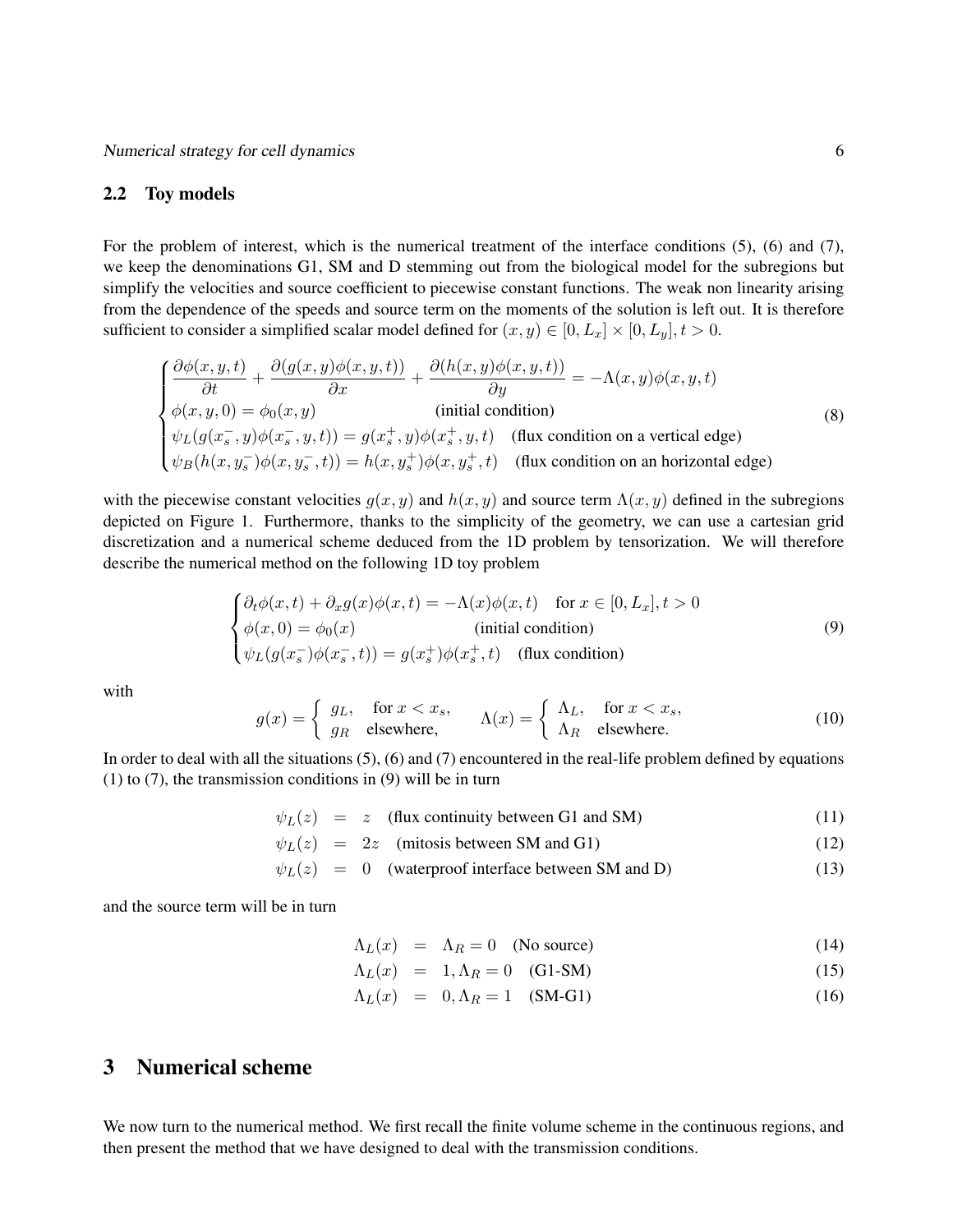#### 2.2 Toy models

For the problem of interest, which is the numerical treatment of the interface conditions (5), (6) and (7), we keep the denominations G1, SM and D stemming out from the biological model for the subregions but simplify the velocities and source coefficient to piecewise constant functions. The weak non linearity arising from the dependence of the speeds and source term on the moments of the solution is left out. It is therefore sufficient to consider a simplified scalar model defined for  $(x, y) \in [0, L_x] \times [0, L_y]$ ,  $t > 0$ .

$$
\begin{cases}\n\frac{\partial \phi(x,y,t)}{\partial t} + \frac{\partial (g(x,y)\phi(x,y,t))}{\partial x} + \frac{\partial (h(x,y)\phi(x,y,t))}{\partial y} = -\Lambda(x,y)\phi(x,y,t) \\
\phi(x,y,0) = \phi_0(x,y) & \text{(initial condition)} \\
\psi_L(g(x_s^-,y)\phi(x_s^-,y,t)) = g(x_s^+,y)\phi(x_s^+,y,t) & \text{(flux condition on a vertical edge)} \\
\psi_B(h(x,y_s^-)\phi(x,y_s^-,t)) = h(x,y_s^+) \phi(x,y_s^+,t) & \text{(flux condition on an horizontal edge)}\n\end{cases}
$$
\n(8)

with the piecewise constant velocities  $g(x, y)$  and  $h(x, y)$  and source term  $\Lambda(x, y)$  defined in the subregions depicted on Figure 1. Furthermore, thanks to the simplicity of the geometry, we can use a cartesian grid discretization and a numerical scheme deduced from the 1D problem by tensorization. We will therefore describe the numerical method on the following 1D toy problem

$$
\begin{cases}\n\partial_t \phi(x,t) + \partial_x g(x)\phi(x,t) = -\Lambda(x)\phi(x,t) & \text{for } x \in [0, L_x], t > 0 \\
\phi(x,0) = \phi_0(x) & \text{(initial condition)} \\
\psi_L(g(x_s^-)\phi(x_s^-,t)) = g(x_s^+) \phi(x_s^+,t) & \text{(flux condition)}\n\end{cases}
$$
\n(9)

with

$$
g(x) = \begin{cases} g_L, & \text{for } x < x_s, \\ g_R & \text{elsewhere,} \end{cases} \qquad \Lambda(x) = \begin{cases} \Lambda_L, & \text{for } x < x_s, \\ \Lambda_R & \text{elsewhere.} \end{cases} \tag{10}
$$

In order to deal with all the situations (5), (6) and (7) encountered in the real-life problem defined by equations (1) to (7), the transmission conditions in (9) will be in turn

$$
\psi_L(z) = z \quad \text{(flux continuity between G1 and SM)} \tag{11}
$$

$$
\psi_L(z) = 2z \quad \text{(mitosis between SM and G1)} \tag{12}
$$

$$
\psi_L(z) = 0 \quad \text{(waterproof interface between SM and D)} \tag{13}
$$

and the source term will be in turn

$$
\Lambda_L(x) = \Lambda_R = 0 \quad \text{(No source)} \tag{14}
$$

$$
\Lambda_L(x) = 1, \Lambda_R = 0 \quad \text{(G1-SM)} \tag{15}
$$

$$
\Lambda_L(x) = 0, \Lambda_R = 1 \quad (SM-G1)
$$
\n
$$
(16)
$$

# 3 Numerical scheme

We now turn to the numerical method. We first recall the finite volume scheme in the continuous regions, and then present the method that we have designed to deal with the transmission conditions.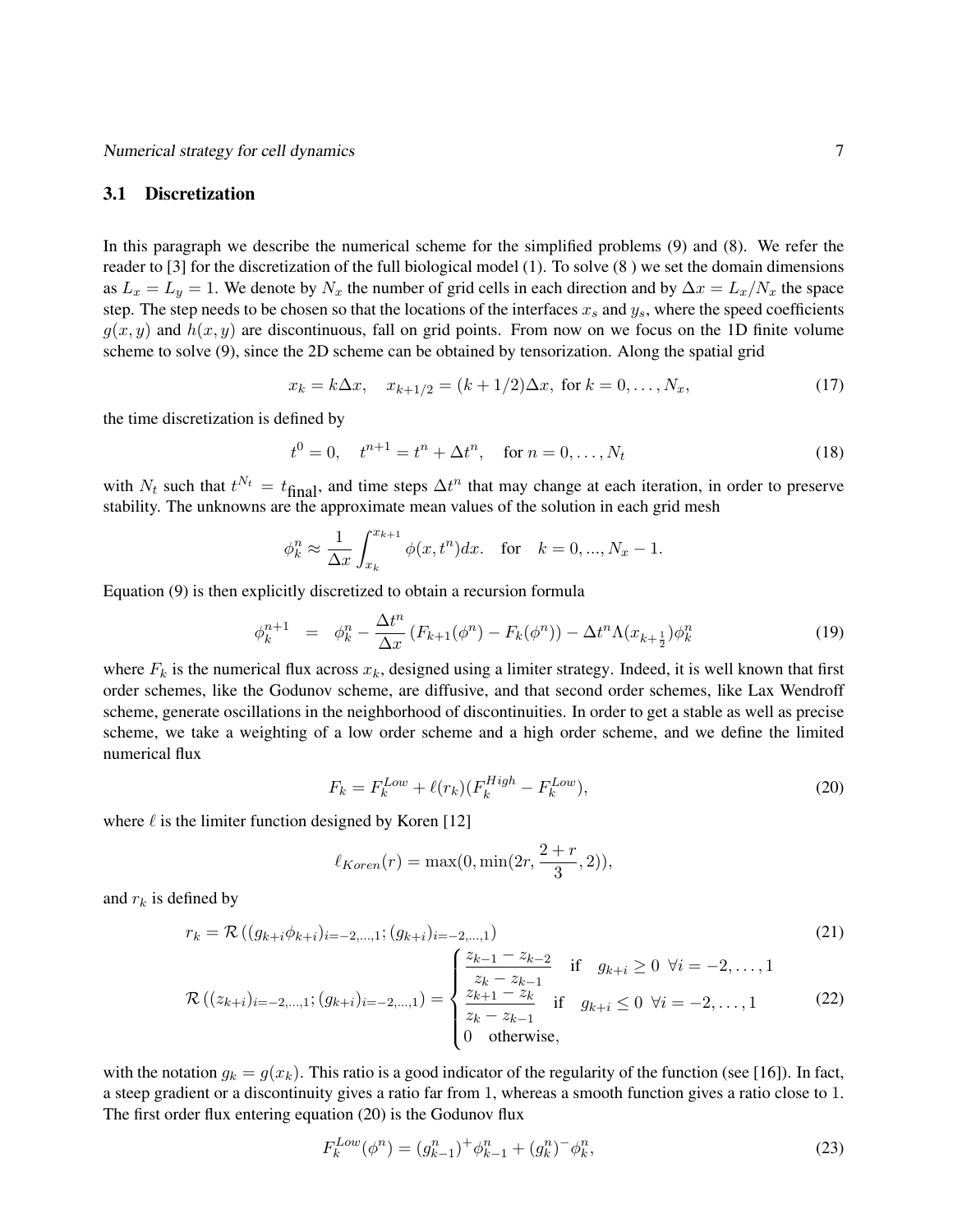### 3.1 Discretization

In this paragraph we describe the numerical scheme for the simplified problems (9) and (8). We refer the reader to [3] for the discretization of the full biological model (1). To solve (8 ) we set the domain dimensions as  $L_x = L_y = 1$ . We denote by  $N_x$  the number of grid cells in each direction and by  $\Delta x = L_x/N_x$  the space step. The step needs to be chosen so that the locations of the interfaces  $x_s$  and  $y_s$ , where the speed coefficients  $g(x, y)$  and  $h(x, y)$  are discontinuous, fall on grid points. From now on we focus on the 1D finite volume scheme to solve (9), since the 2D scheme can be obtained by tensorization. Along the spatial grid

$$
x_k = k\Delta x, \quad x_{k+1/2} = (k+1/2)\Delta x, \text{ for } k = 0, \dots, N_x,
$$
 (17)

the time discretization is defined by

$$
t^{0} = 0, \quad t^{n+1} = t^{n} + \Delta t^{n}, \quad \text{for } n = 0, \dots, N_{t}
$$
 (18)

with  $N_t$  such that  $t^{N_t} = t_{\text{final}}$ , and time steps  $\Delta t^n$  that may change at each iteration, in order to preserve stability. The unknowns are the approximate mean values of the solution in each grid mesh

$$
\phi_k^n \approx \frac{1}{\Delta x} \int_{x_k}^{x_{k+1}} \phi(x, t^n) dx
$$
. for  $k = 0, ..., N_x - 1$ .

Equation (9) is then explicitly discretized to obtain a recursion formula

$$
\phi_k^{n+1} = \phi_k^n - \frac{\Delta t^n}{\Delta x} \left( F_{k+1}(\phi^n) - F_k(\phi^n) \right) - \Delta t^n \Lambda (x_{k+\frac{1}{2}}) \phi_k^n \tag{19}
$$

where  $F_k$  is the numerical flux across  $x_k$ , designed using a limiter strategy. Indeed, it is well known that first order schemes, like the Godunov scheme, are diffusive, and that second order schemes, like Lax Wendroff scheme, generate oscillations in the neighborhood of discontinuities. In order to get a stable as well as precise scheme, we take a weighting of a low order scheme and a high order scheme, and we define the limited numerical flux

$$
F_k = F_k^{Low} + \ell(r_k)(F_k^{High} - F_k^{Low}),\tag{20}
$$

where  $\ell$  is the limiter function designed by Koren [12]

$$
\ell_{Koren}(r) = \max(0, \min(2r, \frac{2+r}{3}, 2)),
$$

and  $r_k$  is defined by

$$
r_{k} = \mathcal{R}\left((g_{k+i}\phi_{k+i})_{i=-2,\dots,1}; (g_{k+i})_{i=-2,\dots,1}\right)
$$
(21)  

$$
\mathcal{R}\left((z_{k+i})_{i=-2,\dots,1}; (g_{k+i})_{i=-2,\dots,1}\right) = \begin{cases} \frac{z_{k-1} - z_{k-2}}{z_{k} - z_{k-1}} & \text{if } g_{k+i} \ge 0 \ \forall i = -2,\dots,1\\ \frac{z_{k+1} - z_{k}}{z_{k} - z_{k-1}} & \text{if } g_{k+i} \le 0 \ \forall i = -2,\dots,1 \end{cases}
$$
(22)

with the notation 
$$
g_k = g(x_k)
$$
. This ratio is a good indicator of the regularity of the function (see [16]). In fact, a steep gradient or a discontinuity gives a ratio far from 1, whereas a smooth function gives a ratio close to 1.  
The first order flux entering equation (20) is the Godunov flux

$$
F_k^{Low}(\phi^n) = (g_{k-1}^n)^+ \phi_{k-1}^n + (g_k^n)^- \phi_k^n,\tag{23}
$$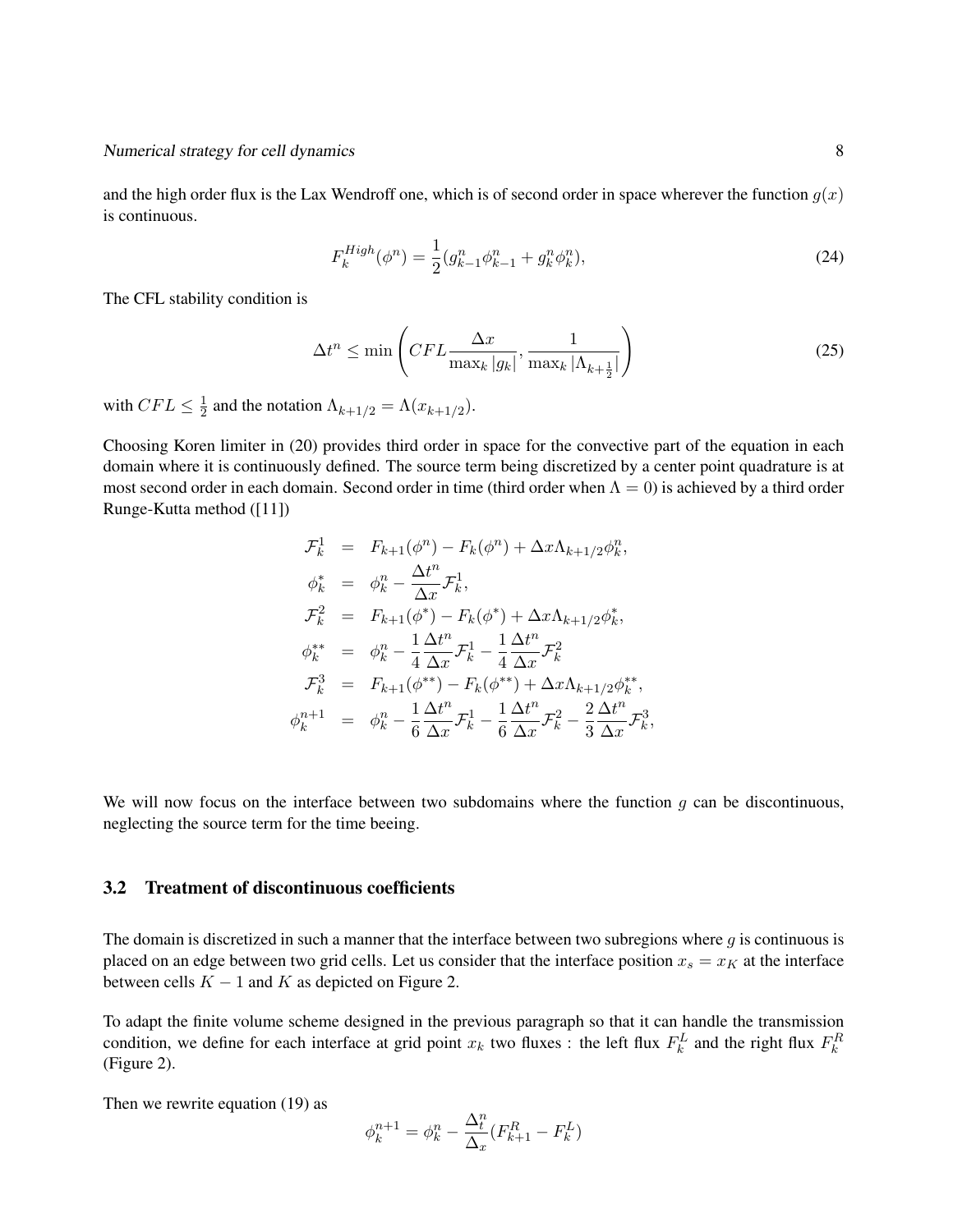and the high order flux is the Lax Wendroff one, which is of second order in space wherever the function  $g(x)$ is continuous.

$$
F_k^{High}(\phi^n) = \frac{1}{2}(g_{k-1}^n \phi_{k-1}^n + g_k^n \phi_k^n),
$$
\n(24)

The CFL stability condition is

$$
\Delta t^n \le \min\left(CFL \frac{\Delta x}{\max_k |g_k|}, \frac{1}{\max_k |\Lambda_{k+\frac{1}{2}}|}\right) \tag{25}
$$

with  $CFL \leq \frac{1}{2}$  $\frac{1}{2}$  and the notation  $\Lambda_{k+1/2} = \Lambda(x_{k+1/2})$ .

Choosing Koren limiter in (20) provides third order in space for the convective part of the equation in each domain where it is continuously defined. The source term being discretized by a center point quadrature is at most second order in each domain. Second order in time (third order when  $\Lambda = 0$ ) is achieved by a third order Runge-Kutta method ([11])

$$
\mathcal{F}_{k}^{1} = F_{k+1}(\phi^{n}) - F_{k}(\phi^{n}) + \Delta x \Lambda_{k+1/2} \phi_{k}^{n},
$$
  
\n
$$
\phi_{k}^{*} = \phi_{k}^{n} - \frac{\Delta t^{n}}{\Delta x} \mathcal{F}_{k}^{1},
$$
  
\n
$$
\mathcal{F}_{k}^{2} = F_{k+1}(\phi^{*}) - F_{k}(\phi^{*}) + \Delta x \Lambda_{k+1/2} \phi_{k}^{*},
$$
  
\n
$$
\phi_{k}^{**} = \phi_{k}^{n} - \frac{1}{4} \frac{\Delta t^{n}}{\Delta x} \mathcal{F}_{k}^{1} - \frac{1}{4} \frac{\Delta t^{n}}{\Delta x} \mathcal{F}_{k}^{2}
$$
  
\n
$$
\mathcal{F}_{k}^{3} = F_{k+1}(\phi^{**}) - F_{k}(\phi^{**}) + \Delta x \Lambda_{k+1/2} \phi_{k}^{**},
$$
  
\n
$$
\phi_{k}^{n+1} = \phi_{k}^{n} - \frac{1}{6} \frac{\Delta t^{n}}{\Delta x} \mathcal{F}_{k}^{1} - \frac{1}{6} \frac{\Delta t^{n}}{\Delta x} \mathcal{F}_{k}^{2} - \frac{2}{3} \frac{\Delta t^{n}}{\Delta x} \mathcal{F}_{k}^{3},
$$

We will now focus on the interface between two subdomains where the function  $g$  can be discontinuous, neglecting the source term for the time beeing.

### 3.2 Treatment of discontinuous coefficients

The domain is discretized in such a manner that the interface between two subregions where  $g$  is continuous is placed on an edge between two grid cells. Let us consider that the interface position  $x_s = x_K$  at the interface between cells  $K - 1$  and K as depicted on Figure 2.

To adapt the finite volume scheme designed in the previous paragraph so that it can handle the transmission condition, we define for each interface at grid point  $x_k$  two fluxes : the left flux  $F_k^L$  and the right flux  $F_k^R$ (Figure 2).

Then we rewrite equation (19) as

$$
\phi^{n+1}_k = \phi^n_k - \frac{\Delta_t^n}{\Delta_x}(F_{k+1}^R - F_k^L)
$$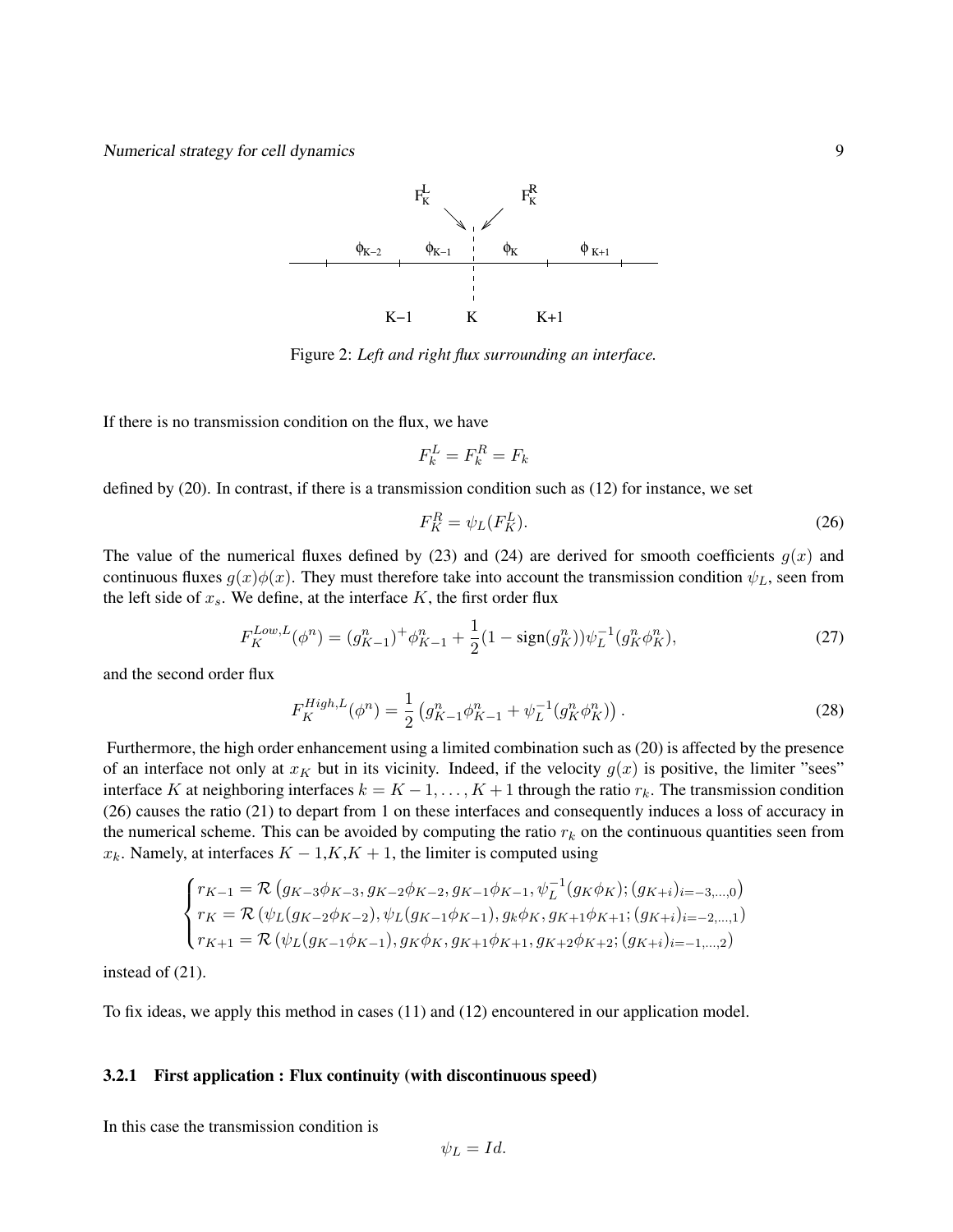

Figure 2: *Left and right flux surrounding an interface.*

If there is no transmission condition on the flux, we have

$$
F_k^L = F_k^R = F_k
$$

defined by (20). In contrast, if there is a transmission condition such as (12) for instance, we set

$$
F_K^R = \psi_L(F_K^L). \tag{26}
$$

The value of the numerical fluxes defined by (23) and (24) are derived for smooth coefficients  $g(x)$  and continuous fluxes  $g(x)\phi(x)$ . They must therefore take into account the transmission condition  $\psi_L$ , seen from the left side of  $x_s$ . We define, at the interface  $K$ , the first order flux

$$
F_K^{Low,L}(\phi^n) = (g_{K-1}^n)^+ \phi_{K-1}^n + \frac{1}{2} (1 - \text{sign}(g_K^n)) \psi_L^{-1} (g_K^n \phi_K^n), \tag{27}
$$

and the second order flux

$$
F_K^{High, L}(\phi^n) = \frac{1}{2} \left( g_{K-1}^n \phi_{K-1}^n + \psi_L^{-1} (g_K^n \phi_K^n) \right). \tag{28}
$$

Furthermore, the high order enhancement using a limited combination such as (20) is affected by the presence of an interface not only at  $x_K$  but in its vicinity. Indeed, if the velocity  $g(x)$  is positive, the limiter "sees" interface K at neighboring interfaces  $k = K - 1, \ldots, K + 1$  through the ratio  $r_k$ . The transmission condition (26) causes the ratio (21) to depart from 1 on these interfaces and consequently induces a loss of accuracy in the numerical scheme. This can be avoided by computing the ratio  $r_k$  on the continuous quantities seen from  $x_k$ . Namely, at interfaces  $K - 1, K, K + 1$ , the limiter is computed using

$$
\begin{cases}\nr_{K-1} = \mathcal{R} \left( g_{K-3} \phi_{K-3}, g_{K-2} \phi_{K-2}, g_{K-1} \phi_{K-1}, \psi_L^{-1} (g_K \phi_K); (g_{K+i})_{i=-3,...,0} \right) \\
r_K = \mathcal{R} \left( \psi_L (g_{K-2} \phi_{K-2}), \psi_L (g_{K-1} \phi_{K-1}), g_k \phi_K, g_{K+1} \phi_{K+1}; (g_{K+i})_{i=-2,...,1} \right) \\
r_{K+1} = \mathcal{R} \left( \psi_L (g_{K-1} \phi_{K-1}), g_K \phi_K, g_{K+1} \phi_{K+1}, g_{K+2} \phi_{K+2}; (g_{K+i})_{i=-1,...,2} \right)\n\end{cases}
$$

instead of (21).

To fix ideas, we apply this method in cases (11) and (12) encountered in our application model.

#### 3.2.1 First application : Flux continuity (with discontinuous speed)

In this case the transmission condition is

 $\psi_L = Id.$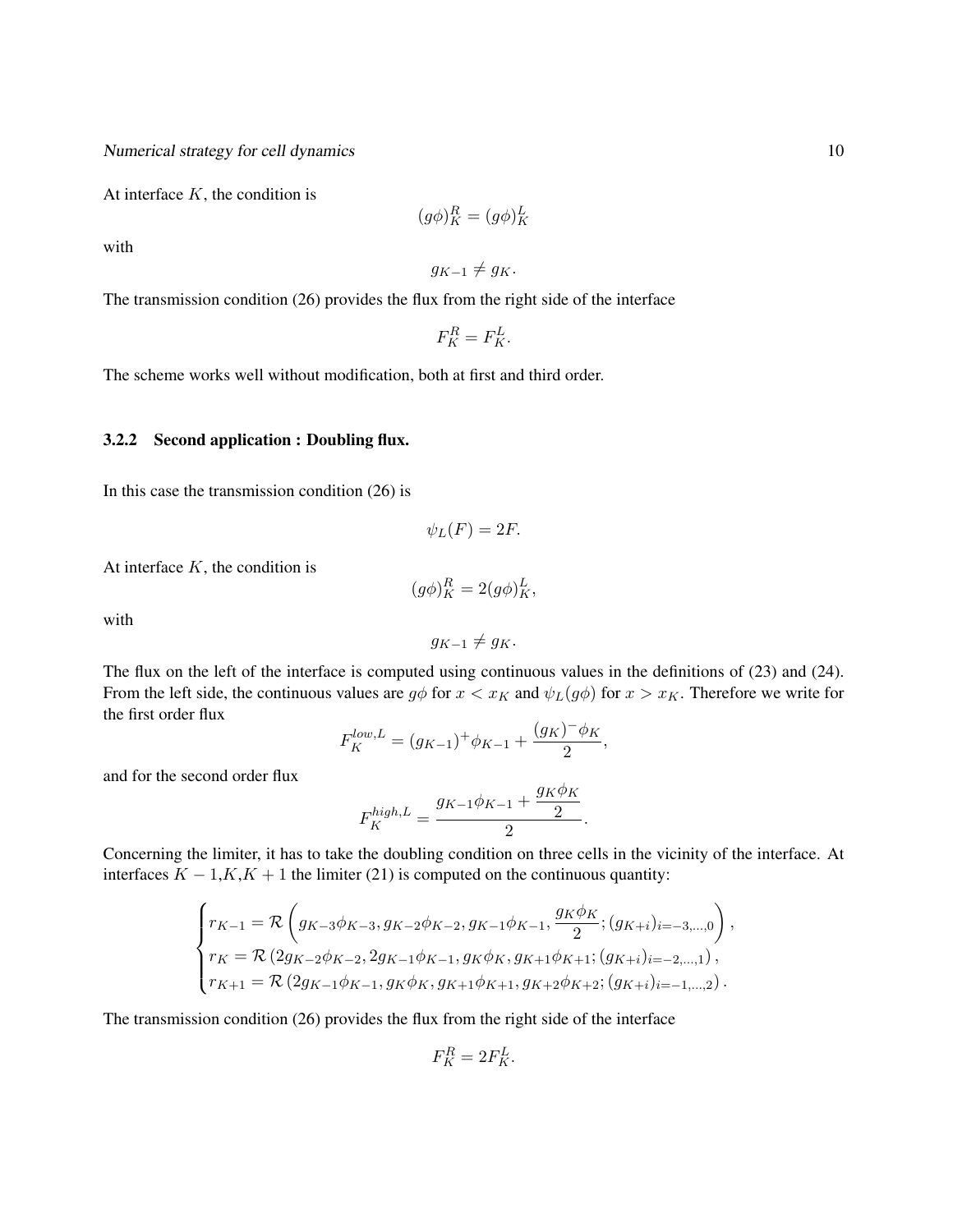At interface  $K$ , the condition is

$$
(g\phi)_K^R = (g\phi)_K^L
$$

with

$$
g_{K-1}\neq g_K.
$$

The transmission condition (26) provides the flux from the right side of the interface

$$
F_K^R = F_K^L.
$$

The scheme works well without modification, both at first and third order.

#### 3.2.2 Second application : Doubling flux.

In this case the transmission condition (26) is

$$
\psi_L(F) = 2F.
$$

At interface  $K$ , the condition is

$$
(g\phi)_K^R = 2(g\phi)_K^L,
$$

with

$$
g_{K-1}\neq g_K.
$$

The flux on the left of the interface is computed using continuous values in the definitions of (23) and (24). From the left side, the continuous values are  $g\phi$  for  $x < x_K$  and  $\psi_L(g\phi)$  for  $x > x_K$ . Therefore we write for the first order flux

$$
F_K^{low,L} = (g_{K-1})^+ \phi_{K-1} + \frac{(g_K)^- \phi_K}{2},
$$

and for the second order flux

$$
F_K^{high,L} = \frac{g_{K-1}\phi_{K-1} + \frac{g_K \phi_K}{2}}{2}
$$

.

Concerning the limiter, it has to take the doubling condition on three cells in the vicinity of the interface. At interfaces  $K - 1, K, K + 1$  the limiter (21) is computed on the continuous quantity:

$$
\begin{cases} r_{K-1} = \mathcal{R}\left(g_{K-3}\phi_{K-3},g_{K-2}\phi_{K-2},g_{K-1}\phi_{K-1},\frac{g_K\phi_K}{2}; (g_{K+i})_{i=-3,...,0}\right),\\ r_K = \mathcal{R}\left(2g_{K-2}\phi_{K-2},2g_{K-1}\phi_{K-1},g_K\phi_K,g_{K+1}\phi_{K+1}; (g_{K+i})_{i=-2,...,1}\right),\\ r_{K+1} = \mathcal{R}\left(2g_{K-1}\phi_{K-1},g_K\phi_K,g_{K+1}\phi_{K+1},g_{K+2}\phi_{K+2}; (g_{K+i})_{i=-1,...,2}\right). \end{cases}
$$

The transmission condition (26) provides the flux from the right side of the interface

$$
F_K^R = 2F_K^L.
$$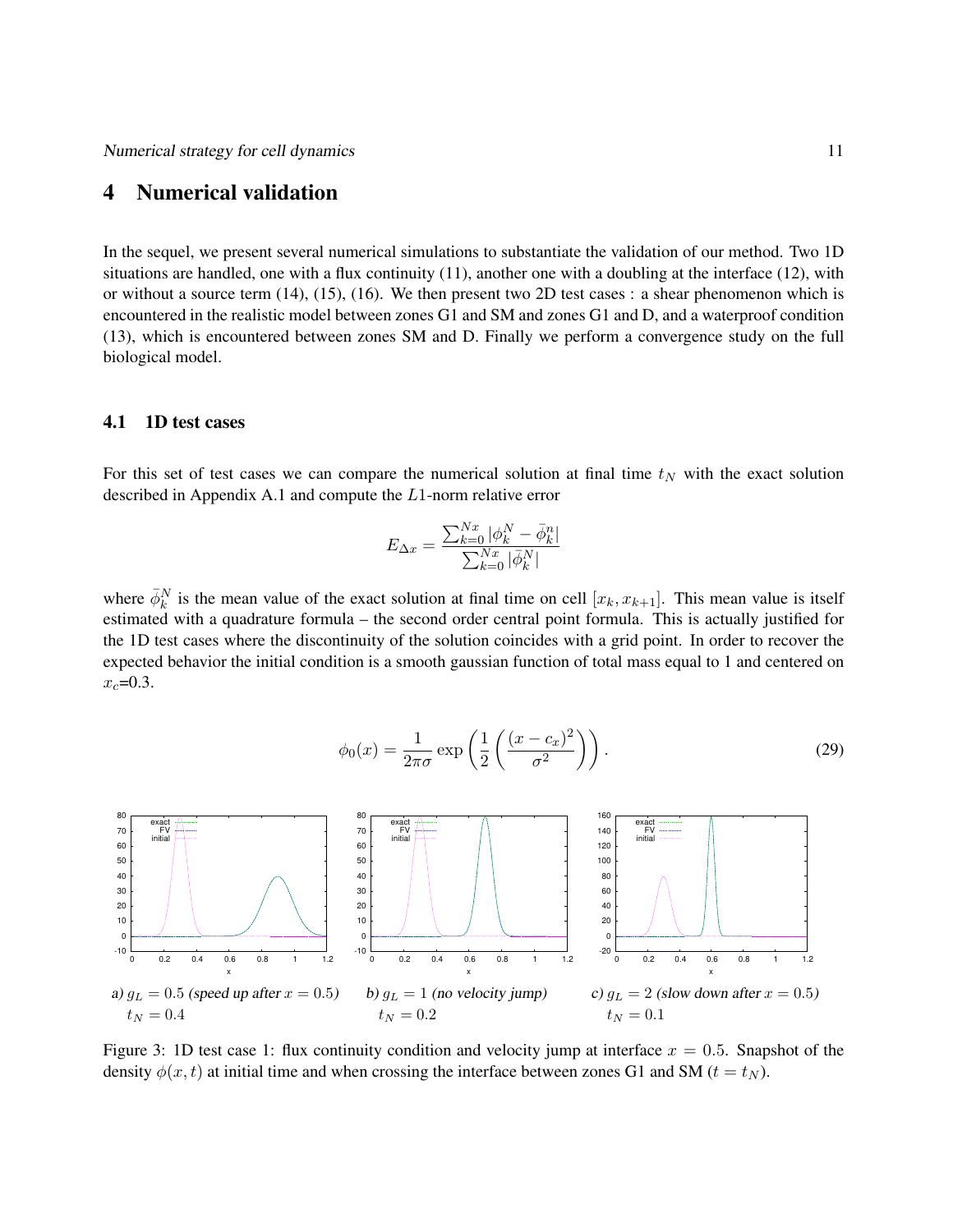# 4 Numerical validation

In the sequel, we present several numerical simulations to substantiate the validation of our method. Two 1D situations are handled, one with a flux continuity  $(11)$ , another one with a doubling at the interface  $(12)$ , with or without a source term (14), (15), (16). We then present two 2D test cases : a shear phenomenon which is encountered in the realistic model between zones G1 and SM and zones G1 and D, and a waterproof condition (13), which is encountered between zones SM and D. Finally we perform a convergence study on the full biological model.

#### 4.1 1D test cases

For this set of test cases we can compare the numerical solution at final time  $t<sub>N</sub>$  with the exact solution described in Appendix A.1 and compute the L1-norm relative error

$$
E_{\Delta x} = \frac{\sum_{k=0}^{Nx} |\phi_k^N - \bar{\phi}_k^n|}{\sum_{k=0}^{Nx} |\bar{\phi}_k^N|}
$$

where  $\bar{\phi}_k^N$  is the mean value of the exact solution at final time on cell  $[x_k, x_{k+1}]$ . This mean value is itself estimated with a quadrature formula – the second order central point formula. This is actually justified for the 1D test cases where the discontinuity of the solution coincides with a grid point. In order to recover the expected behavior the initial condition is a smooth gaussian function of total mass equal to 1 and centered on  $x_c = 0.3$ .

$$
\phi_0(x) = \frac{1}{2\pi\sigma} \exp\left(\frac{1}{2}\left(\frac{(x-c_x)^2}{\sigma^2}\right)\right). \tag{29}
$$



Figure 3: 1D test case 1: flux continuity condition and velocity jump at interface  $x = 0.5$ . Snapshot of the density  $\phi(x, t)$  at initial time and when crossing the interface between zones G1 and SM ( $t = t<sub>N</sub>$ ).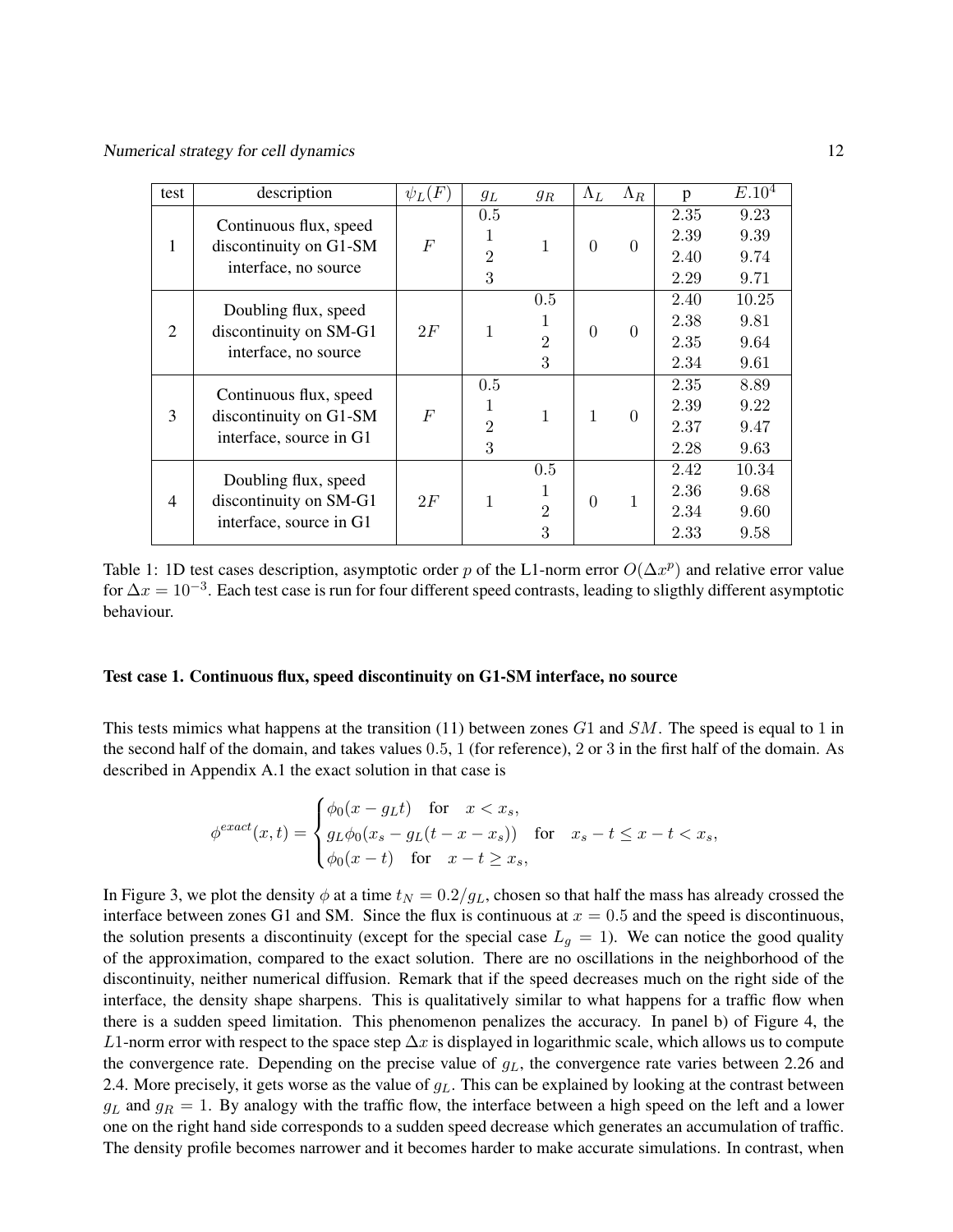| test | description                                                                 | $\psi_L(F)$ | $g_L$                           | $g_R$                               | $\Lambda_L$    | $\Lambda_R$ | p                            | E.10 <sup>4</sup>             |
|------|-----------------------------------------------------------------------------|-------------|---------------------------------|-------------------------------------|----------------|-------------|------------------------------|-------------------------------|
| 1    | Continuous flux, speed<br>discontinuity on G1-SM<br>interface, no source    | $\,F$       | 0.5<br>1<br>$\overline{2}$<br>3 | 1                                   | $\Omega$       | $\theta$    | 2.35<br>2.39<br>2.40<br>2.29 | 9.23<br>9.39<br>9.74<br>9.71  |
| 2    | Doubling flux, speed<br>discontinuity on SM-G1<br>interface, no source      | 2F          |                                 | 0.5<br>1<br>$\overline{2}$<br>3     | $\theta$       | $\Omega$    | 2.40<br>2.38<br>2.35<br>2.34 | 10.25<br>9.81<br>9.64<br>9.61 |
| 3    | Continuous flux, speed<br>discontinuity on G1-SM<br>interface, source in G1 | $\,F$       | 0.5<br>1<br>$\overline{2}$<br>3 | 1                                   | 1              | $\Omega$    | 2.35<br>2.39<br>2.37<br>2.28 | 8.89<br>9.22<br>9.47<br>9.63  |
| 4    | Doubling flux, speed<br>discontinuity on SM-G1<br>interface, source in G1   | 2F          | 1                               | $0.5\,$<br>1<br>$\overline{2}$<br>3 | $\overline{0}$ | 1           | 2.42<br>2.36<br>2.34<br>2.33 | 10.34<br>9.68<br>9.60<br>9.58 |

Table 1: 1D test cases description, asymptotic order p of the L1-norm error  $O(\Delta x^p)$  and relative error value for  $\Delta x = 10^{-3}$ . Each test case is run for four different speed contrasts, leading to sligthly different asymptotic behaviour.

#### Test case 1. Continuous flux, speed discontinuity on G1-SM interface, no source

This tests mimics what happens at the transition (11) between zones  $G1$  and  $SM$ . The speed is equal to 1 in the second half of the domain, and takes values 0.5, 1 (for reference), 2 or 3 in the first half of the domain. As described in Appendix A.1 the exact solution in that case is

$$
\phi^{exact}(x,t) = \begin{cases} \phi_0(x - g_L t) & \text{for } x < x_s, \\ g_L \phi_0(x_s - g_L(t - x - x_s)) & \text{for } x_s - t \le x - t < x_s, \\ \phi_0(x - t) & \text{for } x - t \ge x_s, \end{cases}
$$

In Figure 3, we plot the density  $\phi$  at a time  $t_N = 0.2/g_L$ , chosen so that half the mass has already crossed the interface between zones G1 and SM. Since the flux is continuous at  $x = 0.5$  and the speed is discontinuous, the solution presents a discontinuity (except for the special case  $L_q = 1$ ). We can notice the good quality of the approximation, compared to the exact solution. There are no oscillations in the neighborhood of the discontinuity, neither numerical diffusion. Remark that if the speed decreases much on the right side of the interface, the density shape sharpens. This is qualitatively similar to what happens for a traffic flow when there is a sudden speed limitation. This phenomenon penalizes the accuracy. In panel b) of Figure 4, the L1-norm error with respect to the space step  $\Delta x$  is displayed in logarithmic scale, which allows us to compute the convergence rate. Depending on the precise value of  $g<sub>L</sub>$ , the convergence rate varies between 2.26 and 2.4. More precisely, it gets worse as the value of  $g<sub>L</sub>$ . This can be explained by looking at the contrast between  $g_L$  and  $g_R = 1$ . By analogy with the traffic flow, the interface between a high speed on the left and a lower one on the right hand side corresponds to a sudden speed decrease which generates an accumulation of traffic. The density profile becomes narrower and it becomes harder to make accurate simulations. In contrast, when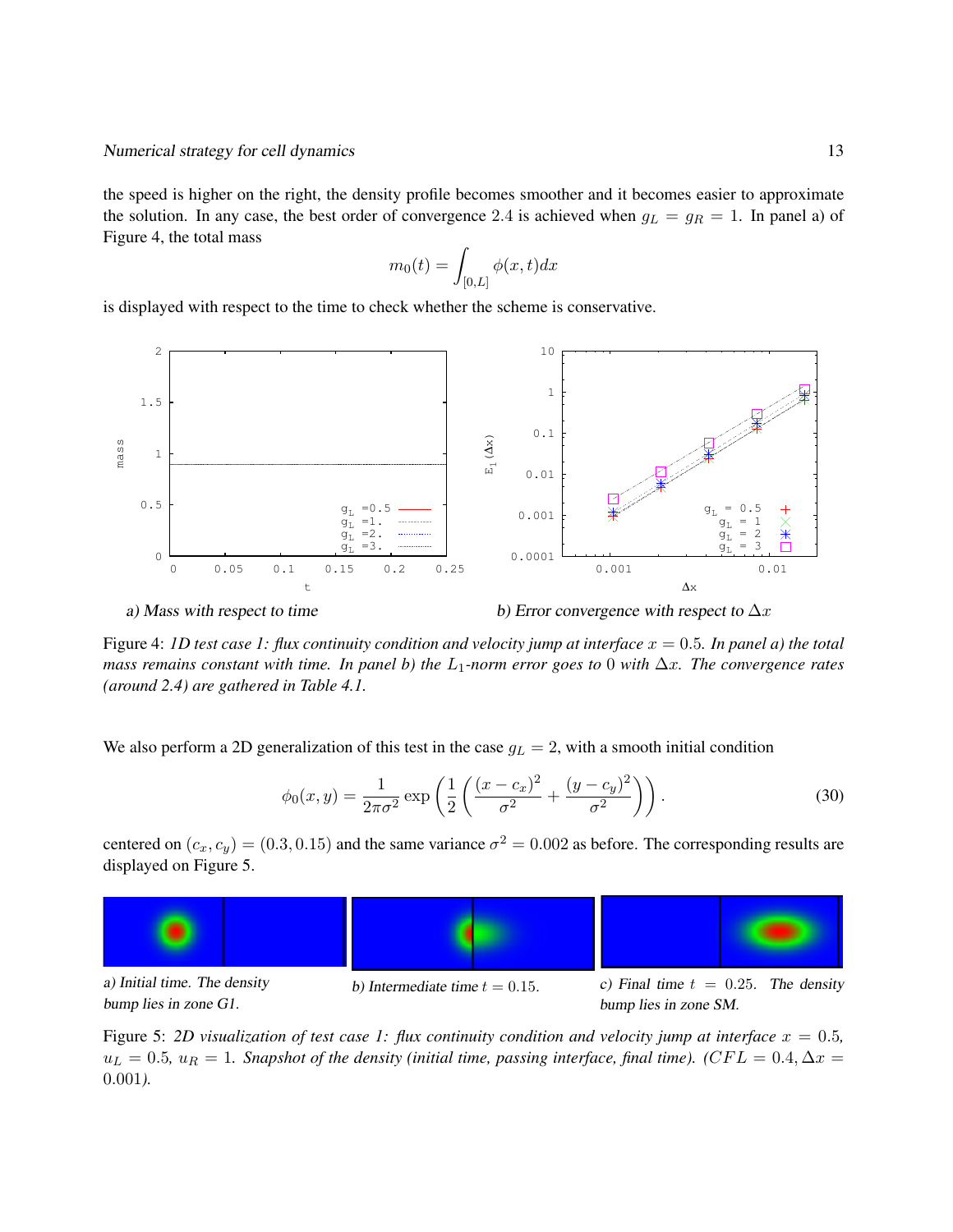the speed is higher on the right, the density profile becomes smoother and it becomes easier to approximate the solution. In any case, the best order of convergence 2.4 is achieved when  $g_L = g_R = 1$ . In panel a) of Figure 4, the total mass

$$
m_0(t)=\int_{[0,L]}\phi(x,t)dx
$$

is displayed with respect to the time to check whether the scheme is conservative.



a) Mass with respect to time

b) Error convergence with respect to  $\Delta x$ 

Figure 4: *1D test case 1: flux continuity condition and velocity jump at interface*  $x = 0.5$ *. In panel a) the total mass remains constant with time. In panel b) the* L1*-norm error goes to* 0 *with* ∆x*. The convergence rates (around 2.4) are gathered in Table 4.1.*

We also perform a 2D generalization of this test in the case  $g_L = 2$ , with a smooth initial condition

$$
\phi_0(x, y) = \frac{1}{2\pi\sigma^2} \exp\left(\frac{1}{2}\left(\frac{(x - c_x)^2}{\sigma^2} + \frac{(y - c_y)^2}{\sigma^2}\right)\right).
$$
 (30)

centered on  $(c_x, c_y) = (0.3, 0.15)$  and the same variance  $\sigma^2 = 0.002$  as before. The corresponding results are displayed on Figure 5.



bump lies in zone G1.

bump lies in zone SM.

Figure 5: 2D visualization of test case 1: flux continuity condition and velocity jump at interface  $x = 0.5$ ,  $u_L = 0.5$ ,  $u_R = 1$ . Snapshot of the density (initial time, passing interface, final time). ( $CFL = 0.4$ ,  $\Delta x =$ 0.001*).*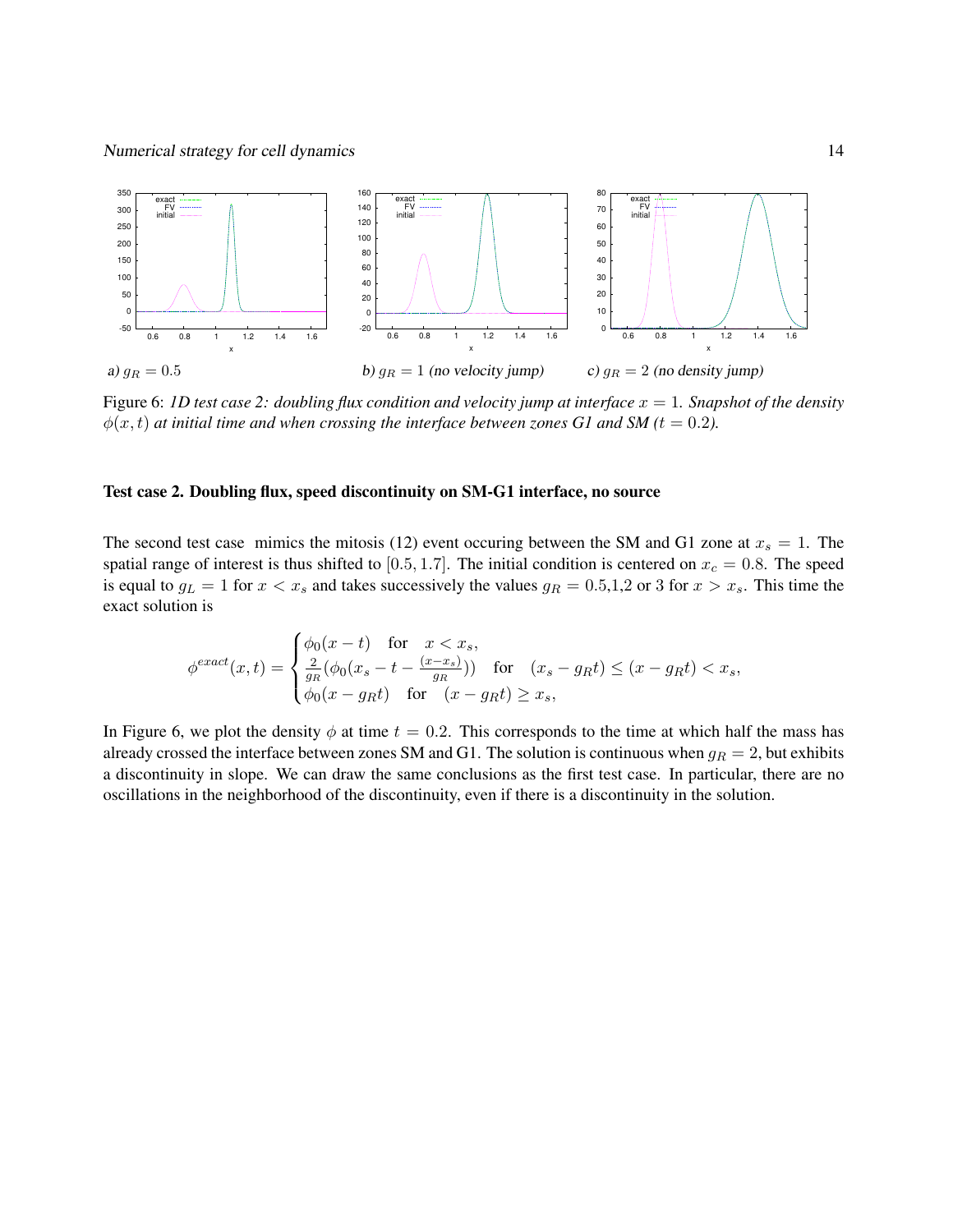

Figure 6: *1D test case 2: doubling flux condition and velocity jump at interface* x = 1*. Snapshot of the density*  $\phi(x, t)$  *at initial time and when crossing the interface between zones G1 and SM (t = 0.2).* 

#### Test case 2. Doubling flux, speed discontinuity on SM-G1 interface, no source

The second test case mimics the mitosis (12) event occuring between the SM and G1 zone at  $x_s = 1$ . The spatial range of interest is thus shifted to [0.5, 1.7]. The initial condition is centered on  $x_c = 0.8$ . The speed is equal to  $g_L = 1$  for  $x < x_s$  and takes successively the values  $g_R = 0.5, 1, 2$  or 3 for  $x > x_s$ . This time the exact solution is

$$
\phi^{exact}(x,t) = \begin{cases} \phi_0(x-t) & \text{for } x < x_s, \\ \frac{2}{g_R}(\phi_0(x_s - t - \frac{(x-x_s)}{g_R})) & \text{for } (x_s - g_R t) \le (x - g_R t) < x_s, \\ \phi_0(x - g_R t) & \text{for } (x - g_R t) \ge x_s, \end{cases}
$$

In Figure 6, we plot the density  $\phi$  at time  $t = 0.2$ . This corresponds to the time at which half the mass has already crossed the interface between zones SM and G1. The solution is continuous when  $g_R = 2$ , but exhibits a discontinuity in slope. We can draw the same conclusions as the first test case. In particular, there are no oscillations in the neighborhood of the discontinuity, even if there is a discontinuity in the solution.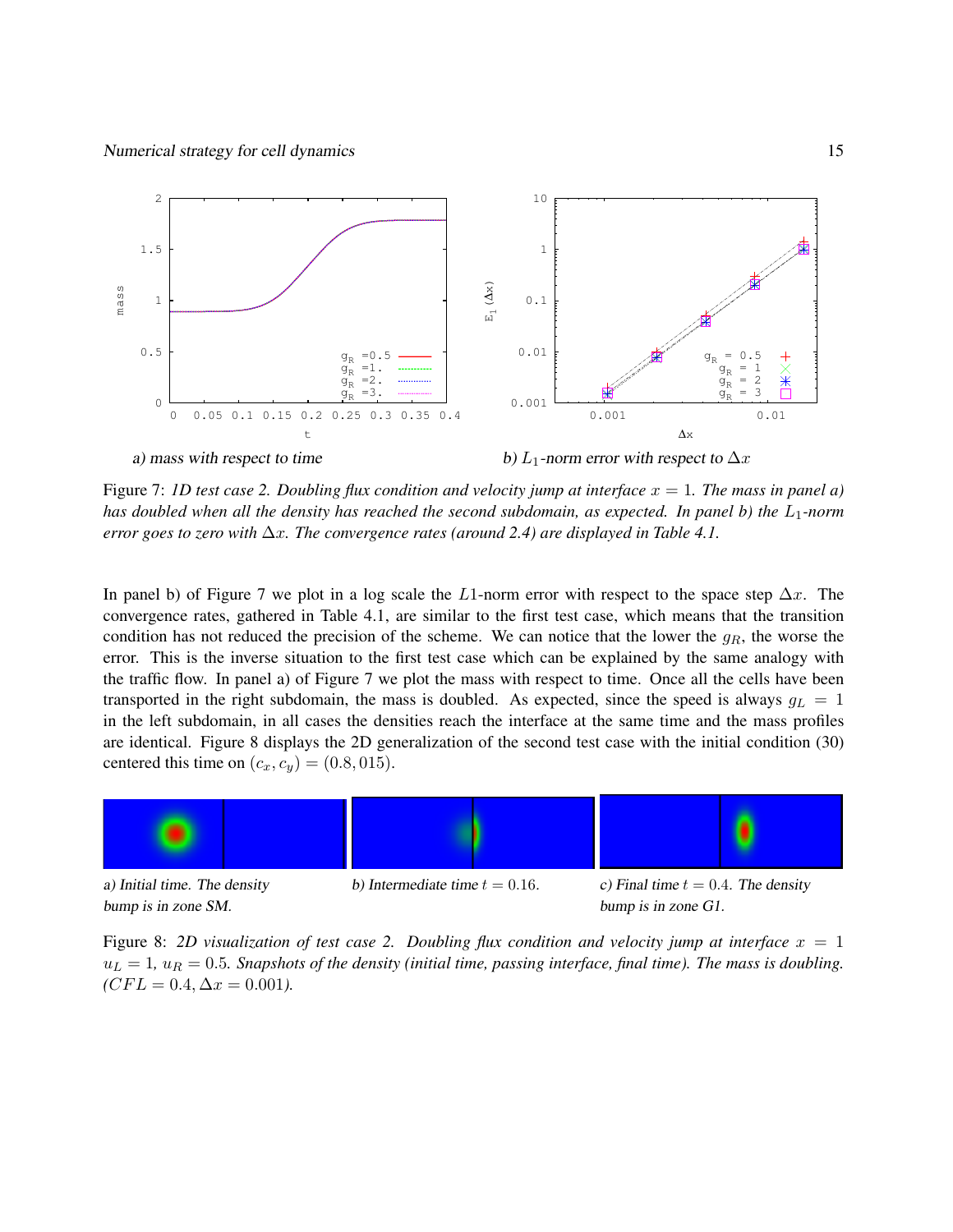

Figure 7: *1D test case 2. Doubling flux condition and velocity jump at interface* x = 1*. The mass in panel a) has doubled when all the density has reached the second subdomain, as expected. In panel b) the*  $L_1$ -norm *error goes to zero with* ∆x*. The convergence rates (around 2.4) are displayed in Table 4.1.*

In panel b) of Figure 7 we plot in a log scale the L1-norm error with respect to the space step  $\Delta x$ . The convergence rates, gathered in Table 4.1, are similar to the first test case, which means that the transition condition has not reduced the precision of the scheme. We can notice that the lower the  $g_R$ , the worse the error. This is the inverse situation to the first test case which can be explained by the same analogy with the traffic flow. In panel a) of Figure 7 we plot the mass with respect to time. Once all the cells have been transported in the right subdomain, the mass is doubled. As expected, since the speed is always  $g_L = 1$ in the left subdomain, in all cases the densities reach the interface at the same time and the mass profiles are identical. Figure 8 displays the 2D generalization of the second test case with the initial condition (30) centered this time on  $(c_x, c_y) = (0.8, 015)$ .



Figure 8: 2D visualization of test case 2. Doubling flux condition and velocity jump at interface  $x = 1$  $u_L = 1$ ,  $u_R = 0.5$ *. Snapshots of the density (initial time, passing interface, final time). The mass is doubling.*  $(CFL = 0.4, \Delta x = 0.001)$ .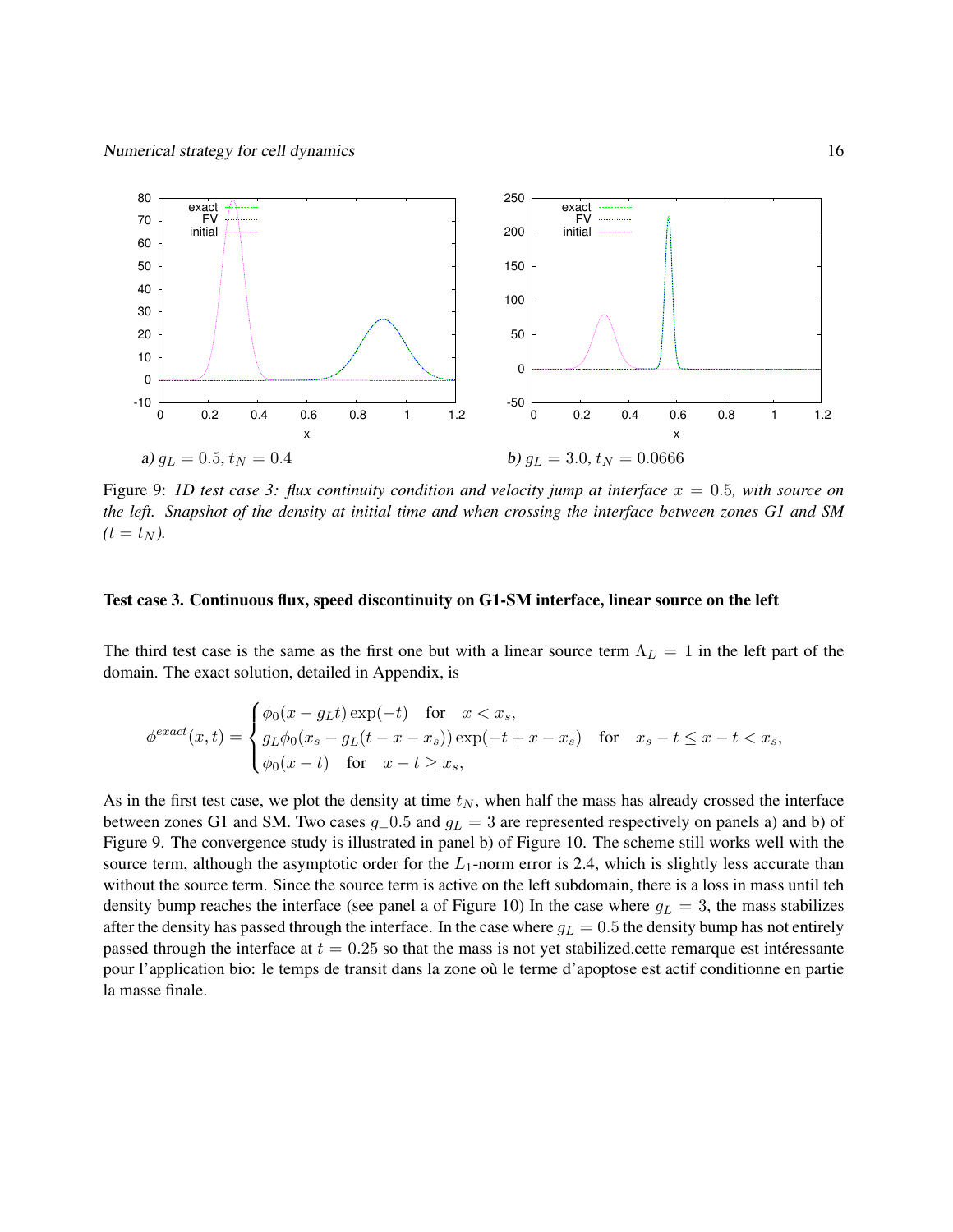

Figure 9: *1D test case 3: flux continuity condition and velocity jump at interface* x = 0.5*, with source on the left. Snapshot of the density at initial time and when crossing the interface between zones G1 and SM*  $(t = t_N)$ .

#### Test case 3. Continuous flux, speed discontinuity on G1-SM interface, linear source on the left

The third test case is the same as the first one but with a linear source term  $\Lambda_L = 1$  in the left part of the domain. The exact solution, detailed in Appendix, is

$$
\phi^{exact}(x,t) = \begin{cases} \phi_0(x - g_L t) \exp(-t) & \text{for } x < x_s, \\ g_L \phi_0(x_s - g_L(t - x - x_s)) \exp(-t + x - x_s) & \text{for } x_s - t \le x - t < x_s, \\ \phi_0(x - t) & \text{for } x - t \ge x_s, \end{cases}
$$

As in the first test case, we plot the density at time  $t_N$ , when half the mass has already crossed the interface between zones G1 and SM. Two cases  $g=0.5$  and  $g<sub>L</sub> = 3$  are represented respectively on panels a) and b) of Figure 9. The convergence study is illustrated in panel b) of Figure 10. The scheme still works well with the source term, although the asymptotic order for the  $L_1$ -norm error is 2.4, which is slightly less accurate than without the source term. Since the source term is active on the left subdomain, there is a loss in mass until teh density bump reaches the interface (see panel a of Figure 10) In the case where  $g_L = 3$ , the mass stabilizes after the density has passed through the interface. In the case where  $g_L = 0.5$  the density bump has not entirely passed through the interface at  $t = 0.25$  so that the mass is not yet stabilized.cette remarque est interessante pour l'application bio: le temps de transit dans la zone où le terme d'apoptose est actif conditionne en partie la masse finale.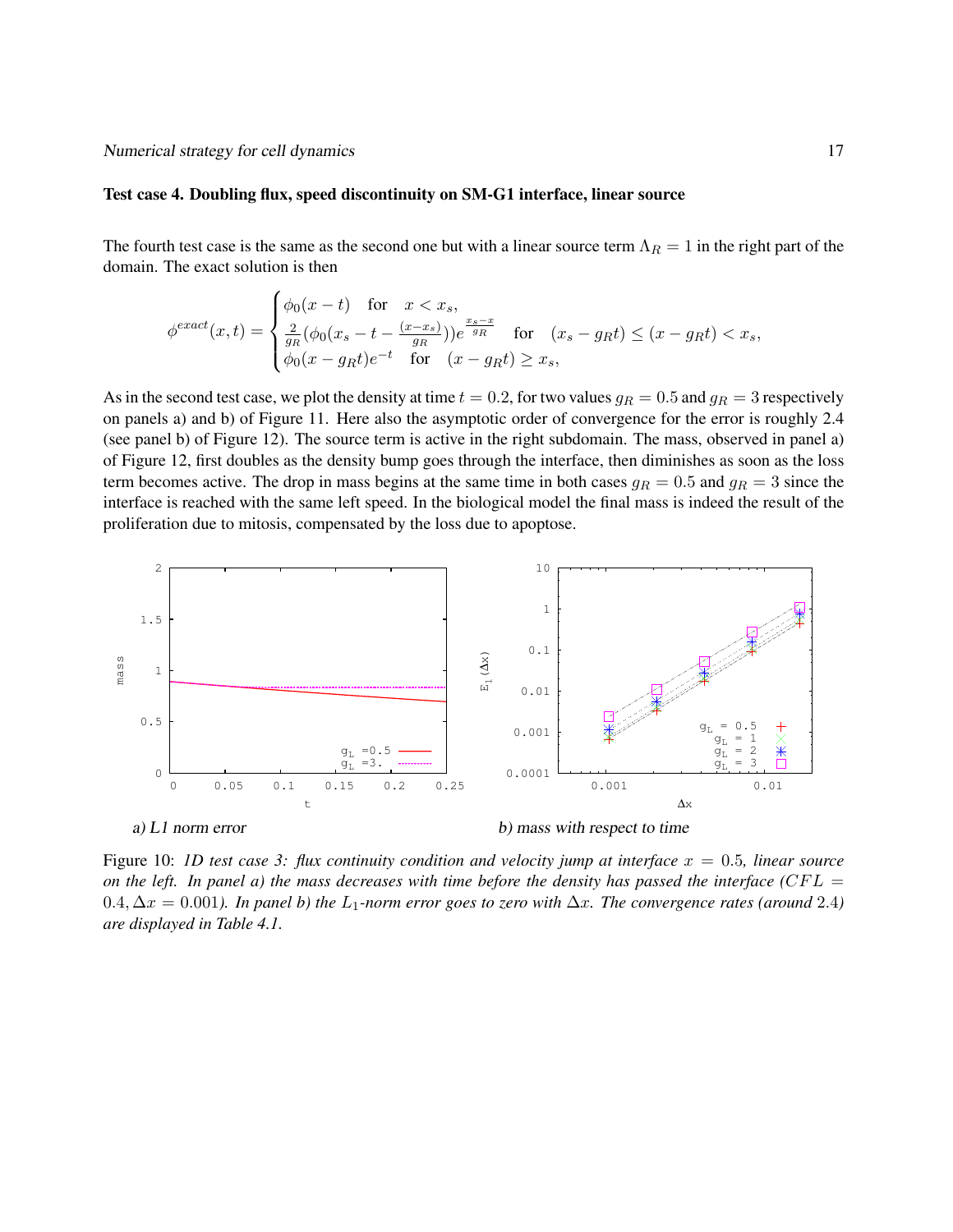#### Test case 4. Doubling flux, speed discontinuity on SM-G1 interface, linear source

The fourth test case is the same as the second one but with a linear source term  $\Lambda_R = 1$  in the right part of the domain. The exact solution is then

$$
\phi^{exact}(x,t) = \begin{cases} \phi_0(x-t) & \text{for } x < x_s, \\ \frac{2}{g_R} \left( \phi_0(x_s - t - \frac{(x-x_s)}{g_R} \right) \right) e^{\frac{x_s - x}{g_R}} & \text{for } (x_s - g_R t) \le (x - g_R t) < x_s, \\ \phi_0(x - g_R t) e^{-t} & \text{for } (x - g_R t) \ge x_s, \end{cases}
$$

As in the second test case, we plot the density at time  $t = 0.2$ , for two values  $g_R = 0.5$  and  $g_R = 3$  respectively on panels a) and b) of Figure 11. Here also the asymptotic order of convergence for the error is roughly 2.4 (see panel b) of Figure 12). The source term is active in the right subdomain. The mass, observed in panel a) of Figure 12, first doubles as the density bump goes through the interface, then diminishes as soon as the loss term becomes active. The drop in mass begins at the same time in both cases  $g_R = 0.5$  and  $g_R = 3$  since the interface is reached with the same left speed. In the biological model the final mass is indeed the result of the proliferation due to mitosis, compensated by the loss due to apoptose.



Figure 10: *1D test case 3: flux continuity condition and velocity jump at interface* x = 0.5*, linear source on the left.* In panel a) the mass decreases with time before the density has passed the interface (CFL  $=$ 0.4,  $\Delta x = 0.001$ *). In panel b) the* L<sub>1</sub>-norm error goes to zero with  $\Delta x$ . The convergence rates (around 2.4) *are displayed in Table 4.1.*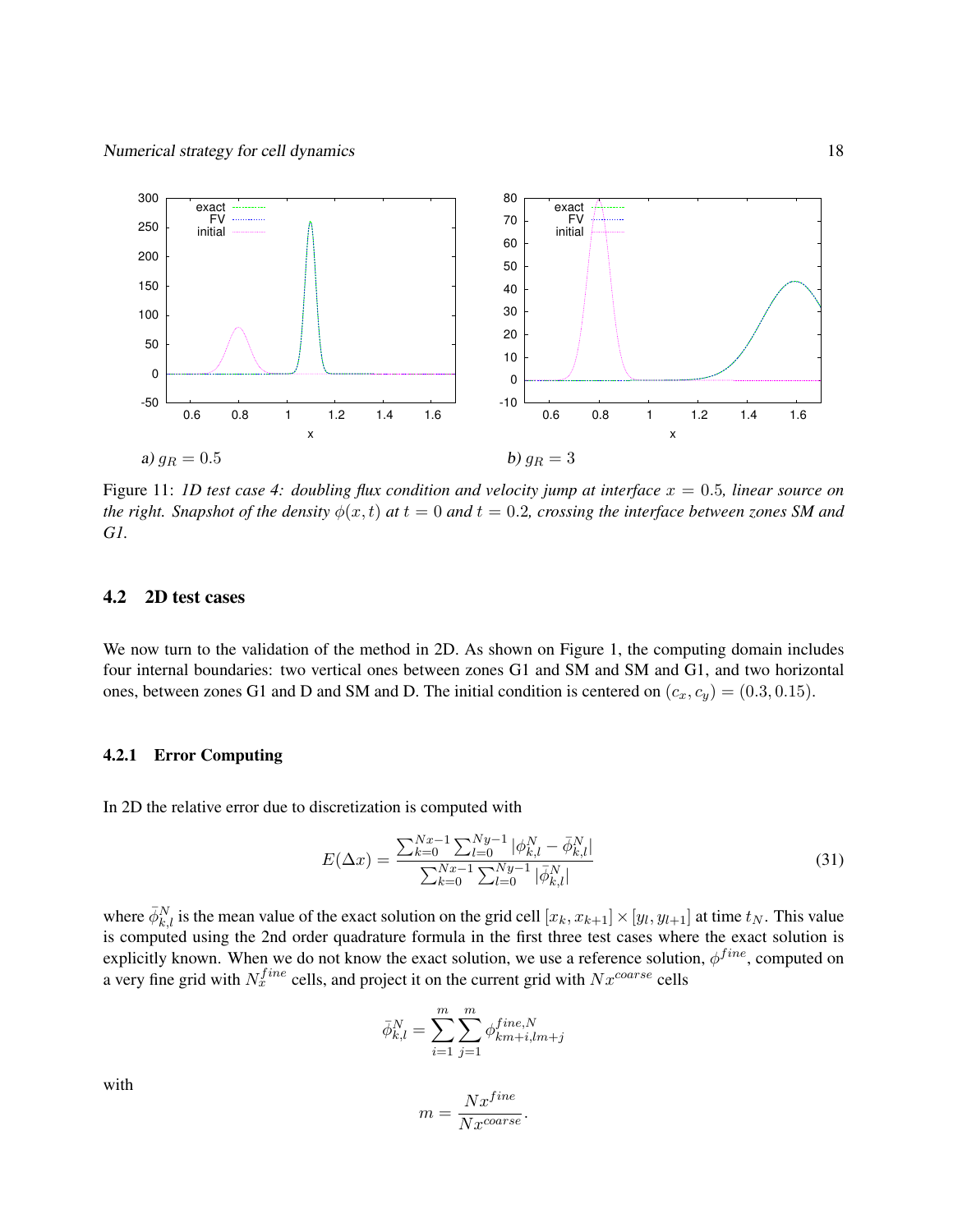

Figure 11: *1D test case 4: doubling flux condition and velocity jump at interface* x = 0.5*, linear source on the right. Snapshot of the density*  $\phi(x, t)$  *at*  $t = 0$  *and*  $t = 0.2$ *, crossing the interface between zones SM and G1.*

#### 4.2 2D test cases

We now turn to the validation of the method in 2D. As shown on Figure 1, the computing domain includes four internal boundaries: two vertical ones between zones G1 and SM and SM and G1, and two horizontal ones, between zones G1 and D and SM and D. The initial condition is centered on  $(c_x, c_y) = (0.3, 0.15)$ .

#### 4.2.1 Error Computing

In 2D the relative error due to discretization is computed with

$$
E(\Delta x) = \frac{\sum_{k=0}^{Nx-1} \sum_{l=0}^{Ny-1} |\phi_{k,l}^N - \bar{\phi}_{k,l}^N|}{\sum_{k=0}^{Nx-1} \sum_{l=0}^{Ny-1} |\bar{\phi}_{k,l}^N|}
$$
(31)

where  $\bar{\phi}_{k,l}^N$  is the mean value of the exact solution on the grid cell  $[x_k, x_{k+1}] \times [y_l, y_{l+1}]$  at time  $t_N$ . This value is computed using the 2nd order quadrature formula in the first three test cases where the exact solution is explicitly known. When we do not know the exact solution, we use a reference solution,  $\phi^{fine}$ , computed on a very fine grid with  $N_x^{fine}$  cells, and project it on the current grid with  $Nx^{coarse}$  cells

$$
\bar{\phi}_{k,l}^N = \sum_{i=1}^m \sum_{j=1}^m \phi_{km+i,lm+j}^{fine,N}
$$

$$
m = \frac{Nx^{fine}}{Nx^{coarse}}.
$$

with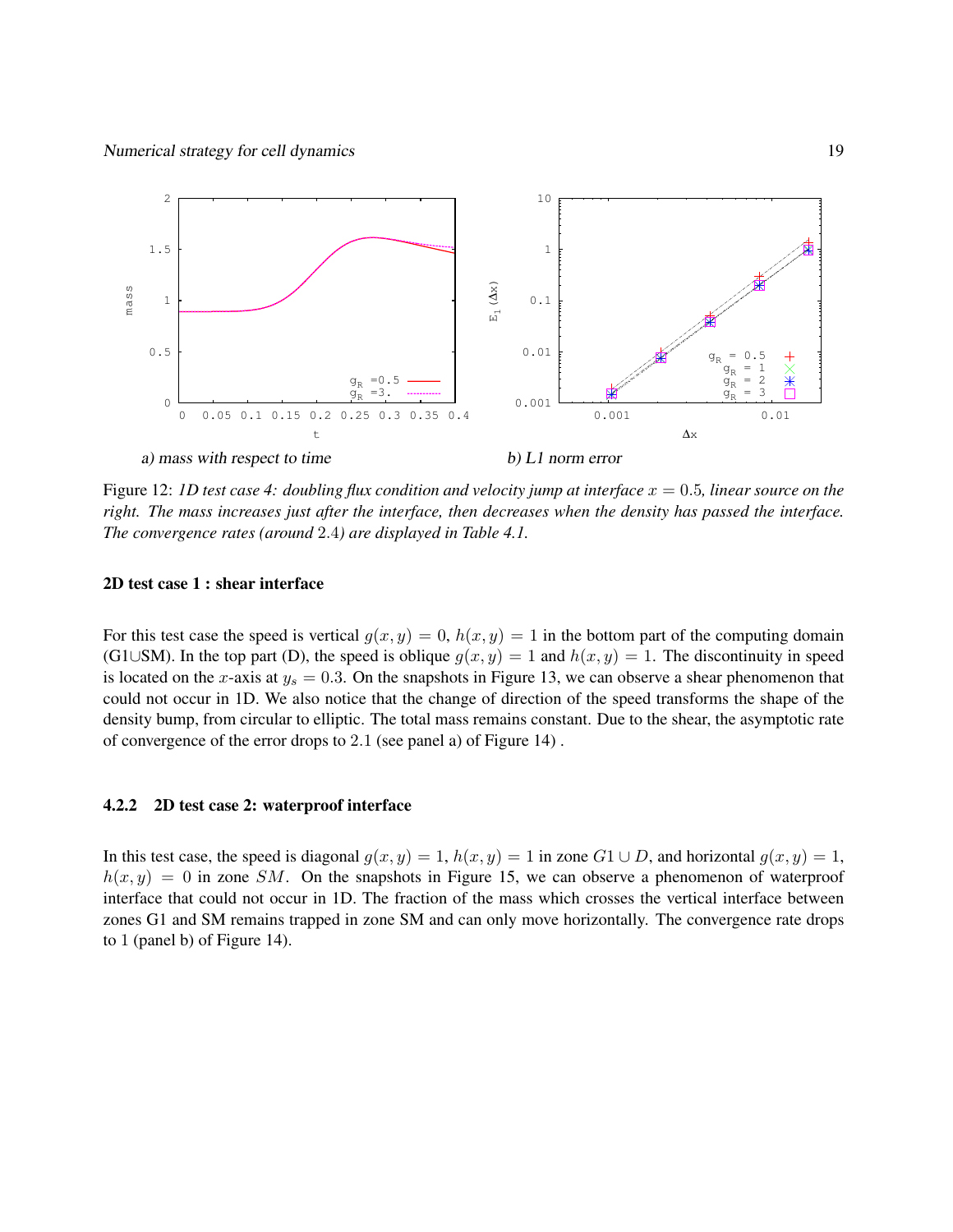

Figure 12: *1D test case 4: doubling flux condition and velocity jump at interface* x = 0.5*, linear source on the right. The mass increases just after the interface, then decreases when the density has passed the interface. The convergence rates (around* 2.4*) are displayed in Table 4.1.*

#### 2D test case 1 : shear interface

For this test case the speed is vertical  $g(x, y) = 0$ ,  $h(x, y) = 1$  in the bottom part of the computing domain (G1∪SM). In the top part (D), the speed is oblique  $g(x, y) = 1$  and  $h(x, y) = 1$ . The discontinuity in speed is located on the x-axis at  $y_s = 0.3$ . On the snapshots in Figure 13, we can observe a shear phenomenon that could not occur in 1D. We also notice that the change of direction of the speed transforms the shape of the density bump, from circular to elliptic. The total mass remains constant. Due to the shear, the asymptotic rate of convergence of the error drops to 2.1 (see panel a) of Figure 14) .

#### 4.2.2 2D test case 2: waterproof interface

In this test case, the speed is diagonal  $g(x, y) = 1$ ,  $h(x, y) = 1$  in zone  $G1 \cup D$ , and horizontal  $g(x, y) = 1$ ,  $h(x, y) = 0$  in zone SM. On the snapshots in Figure 15, we can observe a phenomenon of waterproof interface that could not occur in 1D. The fraction of the mass which crosses the vertical interface between zones G1 and SM remains trapped in zone SM and can only move horizontally. The convergence rate drops to 1 (panel b) of Figure 14).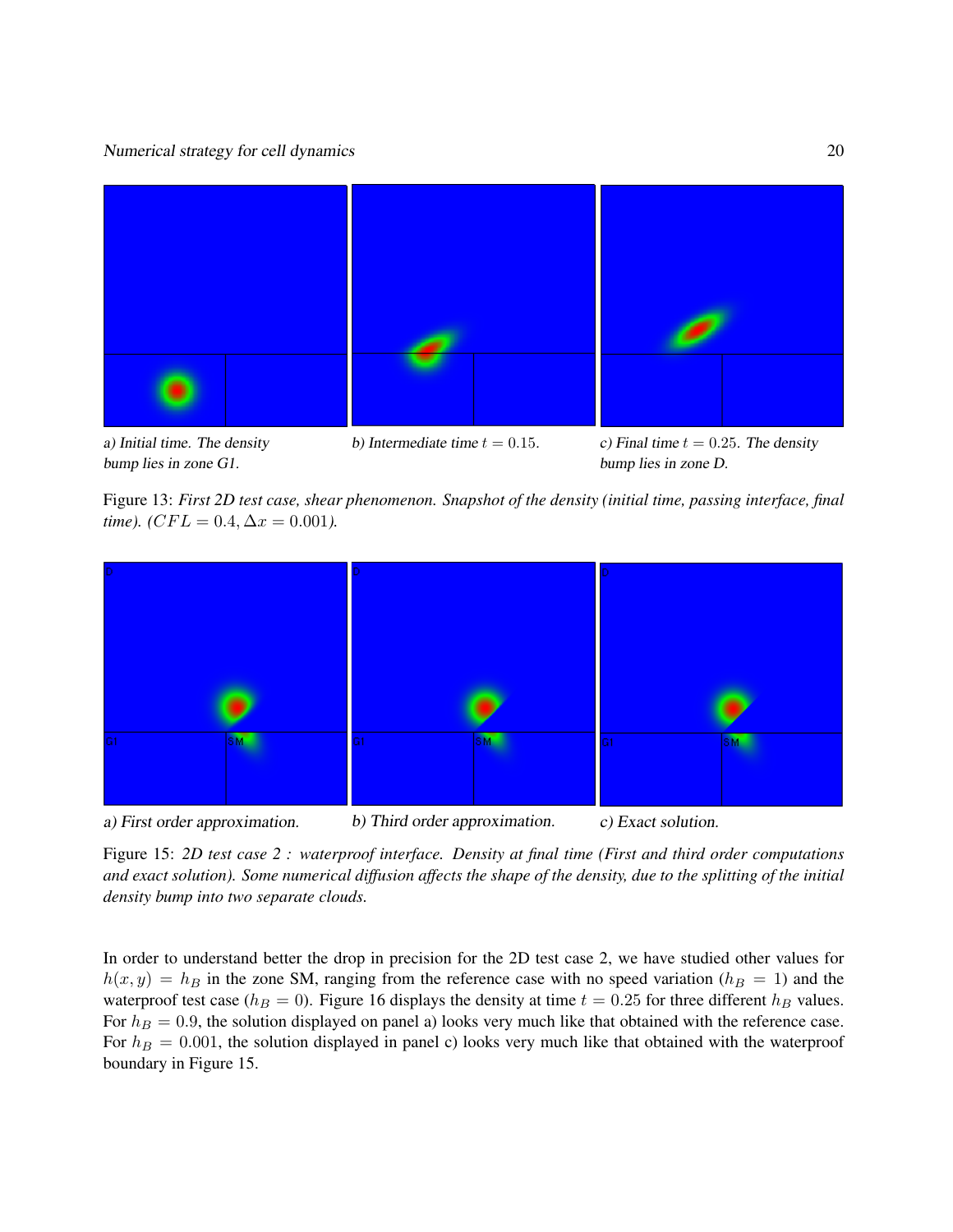

a) Initial time. The density bump lies in zone G1.

b) Intermediate time  $t = 0.15$ . c) Final time  $t = 0.25$ . The density bump lies in zone D.

Figure 13: *First 2D test case, shear phenomenon. Snapshot of the density (initial time, passing interface, final time*). ( $CFL = 0.4$ ,  $\Delta x = 0.001$ ).



Figure 15: *2D test case 2 : waterproof interface. Density at final time (First and third order computations and exact solution). Some numerical diffusion affects the shape of the density, due to the splitting of the initial density bump into two separate clouds.*

In order to understand better the drop in precision for the 2D test case 2, we have studied other values for  $h(x, y) = h_B$  in the zone SM, ranging from the reference case with no speed variation ( $h_B = 1$ ) and the waterproof test case ( $h_B = 0$ ). Figure 16 displays the density at time  $t = 0.25$  for three different  $h_B$  values. For  $h_B = 0.9$ , the solution displayed on panel a) looks very much like that obtained with the reference case. For  $h_B = 0.001$ , the solution displayed in panel c) looks very much like that obtained with the waterproof boundary in Figure 15.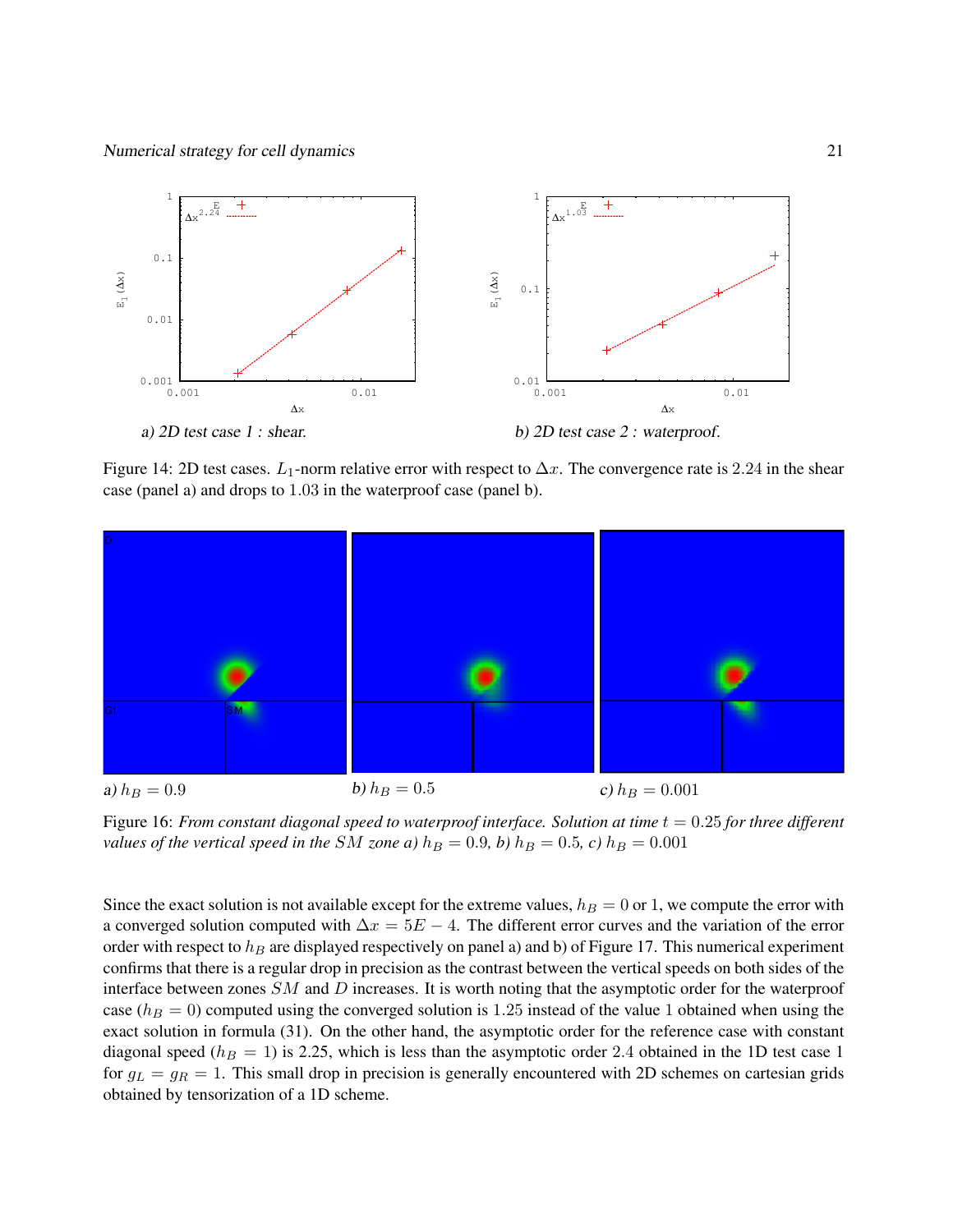

Figure 14: 2D test cases.  $L_1$ -norm relative error with respect to  $\Delta x$ . The convergence rate is 2.24 in the shear case (panel a) and drops to 1.03 in the waterproof case (panel b).



Figure 16: *From constant diagonal speed to waterproof interface. Solution at time*  $t = 0.25$  *for three different values of the vertical speed in the SM zone a)*  $h_B = 0.9$ *, b)*  $h_B = 0.5$ *, c)*  $h_B = 0.001$ 

Since the exact solution is not available except for the extreme values,  $h_B = 0$  or 1, we compute the error with a converged solution computed with  $\Delta x = 5E - 4$ . The different error curves and the variation of the error order with respect to  $h_B$  are displayed respectively on panel a) and b) of Figure 17. This numerical experiment confirms that there is a regular drop in precision as the contrast between the vertical speeds on both sides of the interface between zones SM and D increases. It is worth noting that the asymptotic order for the waterproof case ( $h_B = 0$ ) computed using the converged solution is 1.25 instead of the value 1 obtained when using the exact solution in formula (31). On the other hand, the asymptotic order for the reference case with constant diagonal speed ( $h_B = 1$ ) is 2.25, which is less than the asymptotic order 2.4 obtained in the 1D test case 1 for  $g_L = g_R = 1$ . This small drop in precision is generally encountered with 2D schemes on cartesian grids obtained by tensorization of a 1D scheme.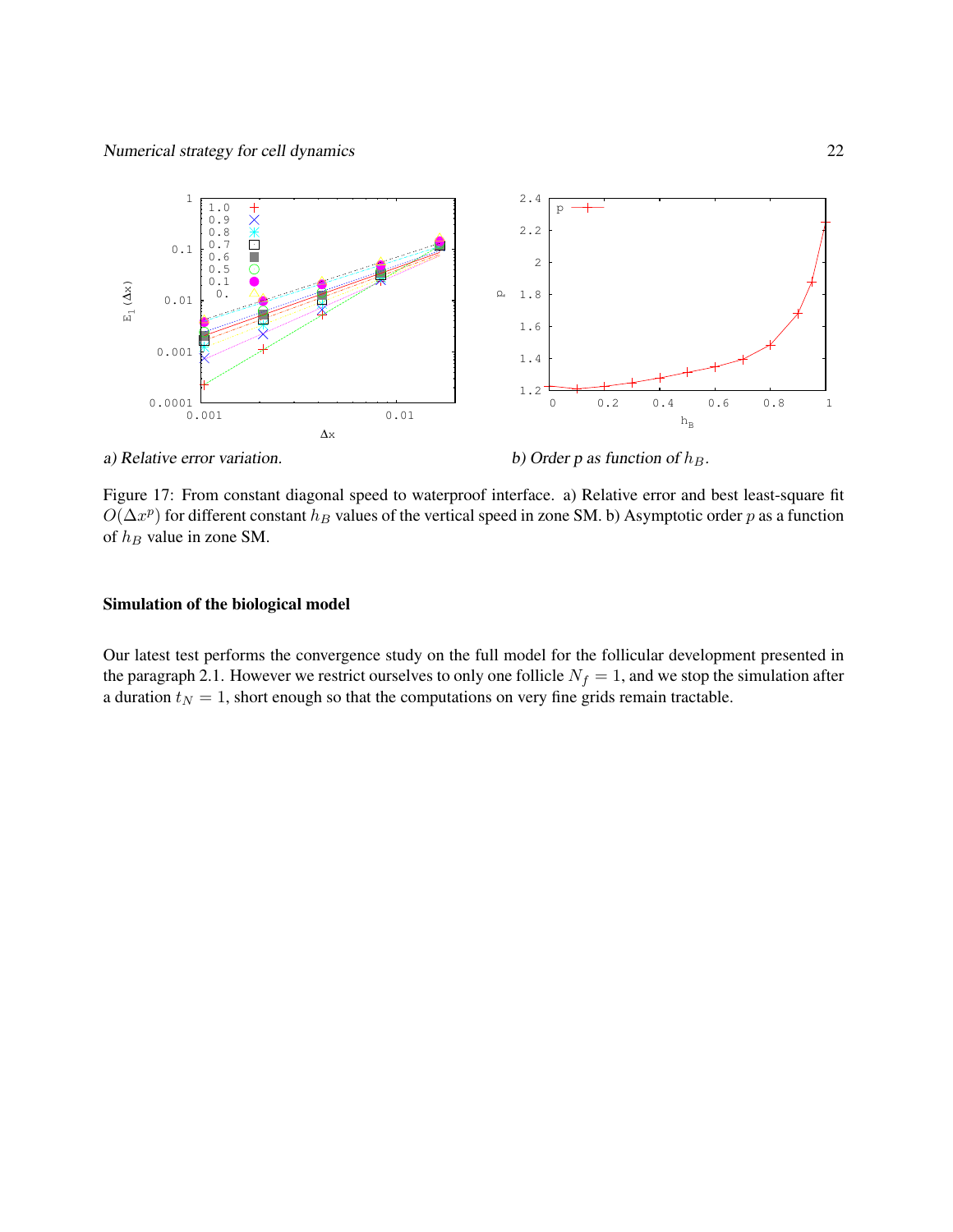

a) Relative error variation.

b) Order p as function of  $h_B$ .

Figure 17: From constant diagonal speed to waterproof interface. a) Relative error and best least-square fit  $O(\Delta x^p)$  for different constant  $h_B$  values of the vertical speed in zone SM. b) Asymptotic order p as a function of  $h_B$  value in zone SM.

#### Simulation of the biological model

Our latest test performs the convergence study on the full model for the follicular development presented in the paragraph 2.1. However we restrict ourselves to only one follicle  $N_f = 1$ , and we stop the simulation after a duration  $t_N = 1$ , short enough so that the computations on very fine grids remain tractable.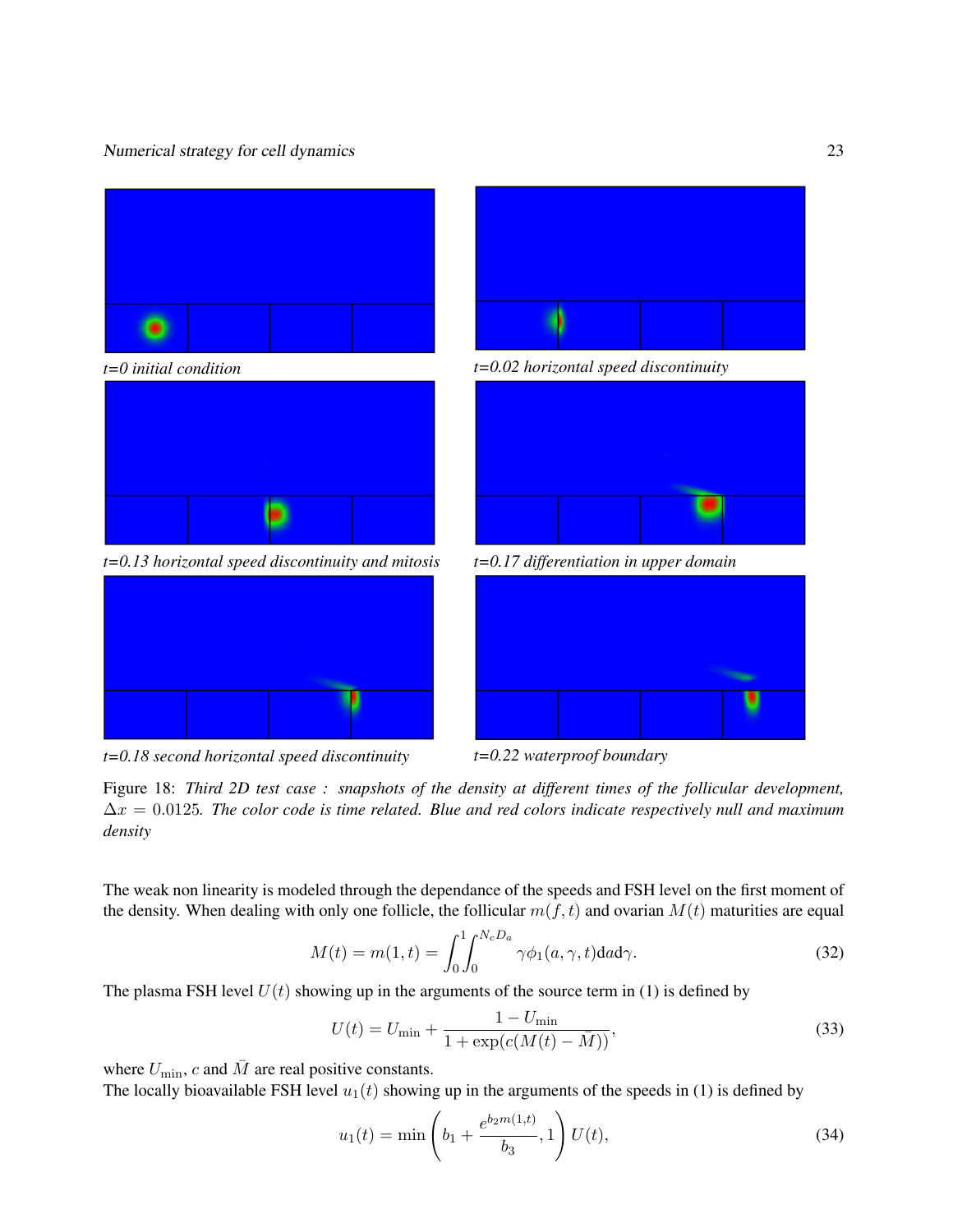

*t=0.18 second horizontal speed discontinuity t=0.22 waterproof boundary*

Figure 18: *Third 2D test case : snapshots of the density at different times of the follicular development,* ∆x = 0.0125*. The color code is time related. Blue and red colors indicate respectively null and maximum density*

The weak non linearity is modeled through the dependance of the speeds and FSH level on the first moment of the density. When dealing with only one follicle, the follicular  $m(f, t)$  and ovarian  $M(t)$  maturities are equal

$$
M(t) = m(1, t) = \int_0^1 \int_0^{N_c D_a} \gamma \phi_1(a, \gamma, t) da d\gamma.
$$
 (32)

The plasma FSH level  $U(t)$  showing up in the arguments of the source term in (1) is defined by

$$
U(t) = U_{\min} + \frac{1 - U_{\min}}{1 + \exp(c(M(t) - \bar{M}))},
$$
\n(33)

where  $U_{\text{min}}$ , c and  $\bar{M}$  are real positive constants.

The locally bioavailable FSH level  $u_1(t)$  showing up in the arguments of the speeds in (1) is defined by

$$
u_1(t) = \min\left(b_1 + \frac{e^{b_2 m(1, t)}}{b_3}, 1\right) U(t),\tag{34}
$$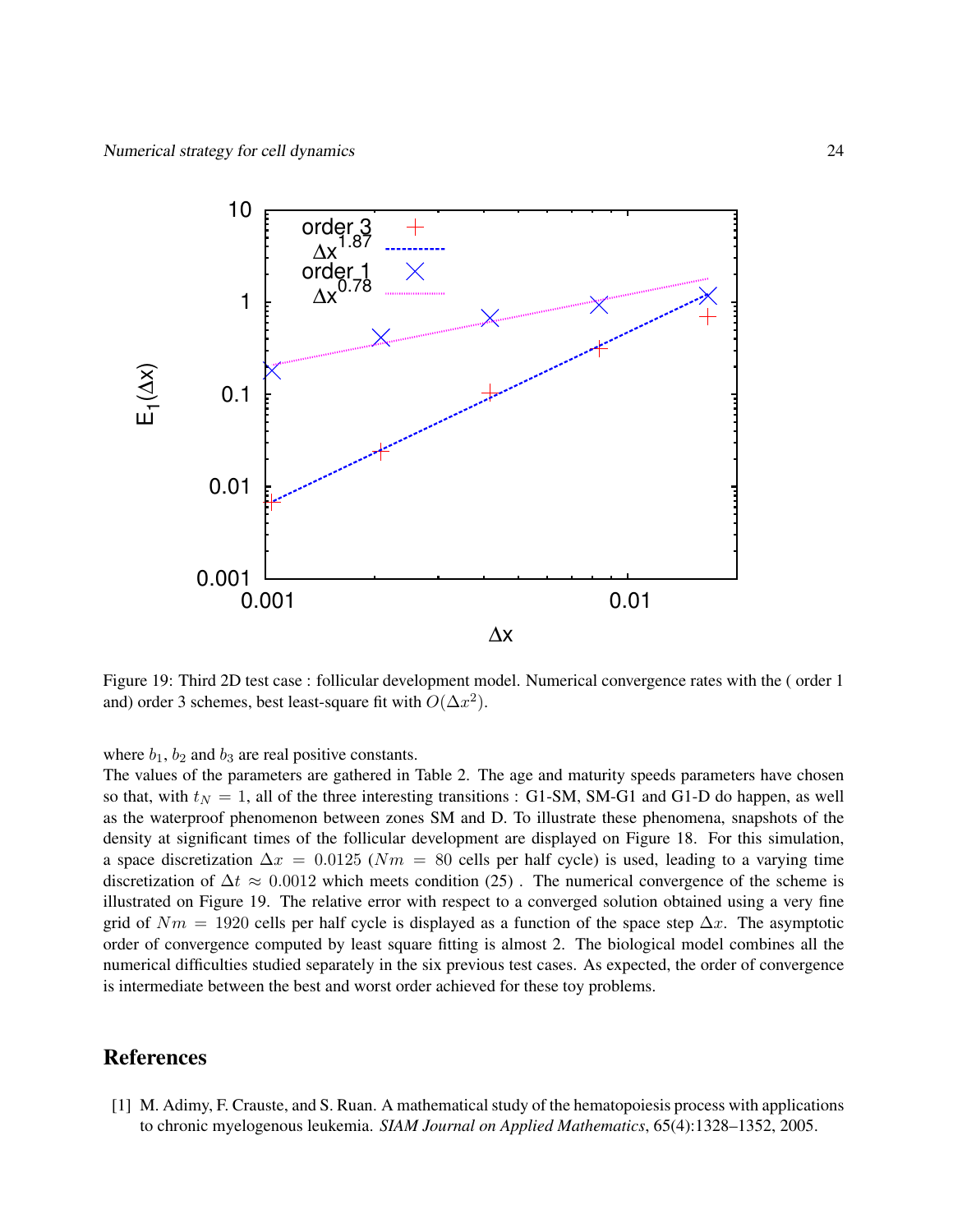

Figure 19: Third 2D test case : follicular development model. Numerical convergence rates with the ( order 1 and) order 3 schemes, best least-square fit with  $O(\Delta x^2)$ .

where  $b_1$ ,  $b_2$  and  $b_3$  are real positive constants.

The values of the parameters are gathered in Table 2. The age and maturity speeds parameters have chosen so that, with  $t_N = 1$ , all of the three interesting transitions : G1-SM, SM-G1 and G1-D do happen, as well as the waterproof phenomenon between zones SM and D. To illustrate these phenomena, snapshots of the density at significant times of the follicular development are displayed on Figure 18. For this simulation, a space discretization  $\Delta x = 0.0125$  ( $Nm = 80$  cells per half cycle) is used, leading to a varying time discretization of  $\Delta t \approx 0.0012$  which meets condition (25). The numerical convergence of the scheme is illustrated on Figure 19. The relative error with respect to a converged solution obtained using a very fine grid of  $Nm = 1920$  cells per half cycle is displayed as a function of the space step  $\Delta x$ . The asymptotic order of convergence computed by least square fitting is almost 2. The biological model combines all the numerical difficulties studied separately in the six previous test cases. As expected, the order of convergence is intermediate between the best and worst order achieved for these toy problems.

# References

[1] M. Adimy, F. Crauste, and S. Ruan. A mathematical study of the hematopoiesis process with applications to chronic myelogenous leukemia. *SIAM Journal on Applied Mathematics*, 65(4):1328–1352, 2005.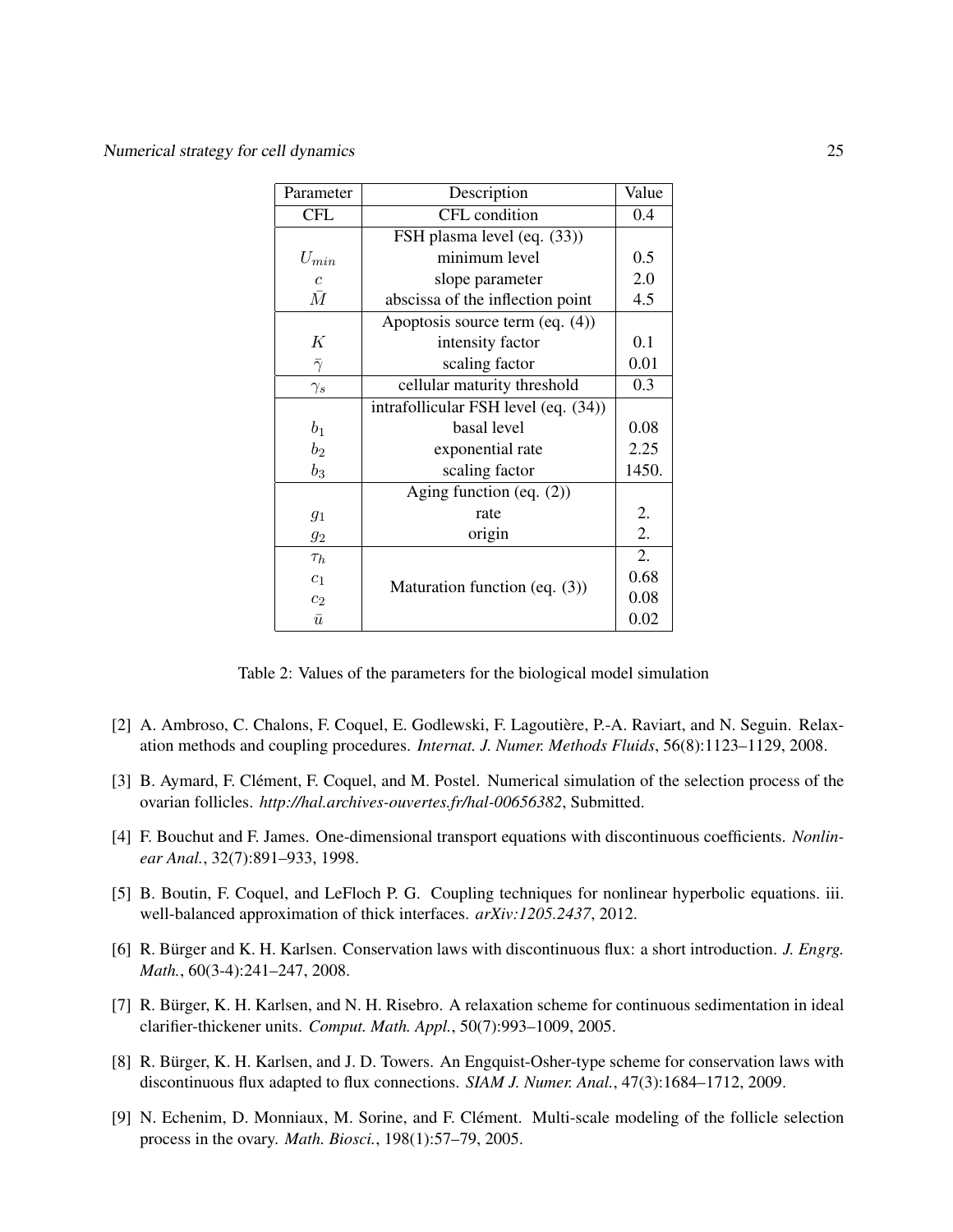| Parameter        | Description                          | Value |
|------------------|--------------------------------------|-------|
| <b>CFL</b>       | CFL condition                        | 0.4   |
|                  | FSH plasma level (eq. (33))          |       |
| $U_{min}$        | minimum level                        | 0.5   |
| $\boldsymbol{c}$ | slope parameter                      | 2.0   |
| $\bar{M}$        | abscissa of the inflection point     | 4.5   |
|                  | Apoptosis source term $(eq. (4))$    |       |
| К                | intensity factor                     | 0.1   |
| $\bar{\gamma}$   | scaling factor                       | 0.01  |
| $\gamma_s$       | cellular maturity threshold          | 0.3   |
|                  | intrafollicular FSH level (eq. (34)) |       |
| $b_1$            | basal level                          | 0.08  |
| $b_2$            | exponential rate                     | 2.25  |
| $b_3$            | scaling factor                       | 1450. |
|                  | Aging function (eq. $(2)$ )          |       |
| 91               | rate                                 | 2.    |
| $g_2$            | origin                               | 2.    |
| $\tau_h$         |                                      | 2.    |
| c <sub>1</sub>   |                                      | 0.68  |
| $c_2$            | Maturation function (eq. (3))        | 0.08  |
| $\bar{u}$        |                                      | 0.02  |

Table 2: Values of the parameters for the biological model simulation

- [2] A. Ambroso, C. Chalons, F. Coquel, E. Godlewski, F. Lagoutière, P.-A. Raviart, and N. Seguin. Relaxation methods and coupling procedures. *Internat. J. Numer. Methods Fluids*, 56(8):1123–1129, 2008.
- [3] B. Aymard, F. Clément, F. Coquel, and M. Postel. Numerical simulation of the selection process of the ovarian follicles. *http://hal.archives-ouvertes.fr/hal-00656382*, Submitted.
- [4] F. Bouchut and F. James. One-dimensional transport equations with discontinuous coefficients. *Nonlinear Anal.*, 32(7):891–933, 1998.
- [5] B. Boutin, F. Coquel, and LeFloch P. G. Coupling techniques for nonlinear hyperbolic equations. iii. well-balanced approximation of thick interfaces. *arXiv:1205.2437*, 2012.
- [6] R. Bürger and K. H. Karlsen. Conservation laws with discontinuous flux: a short introduction. *J. Engrg. Math.*, 60(3-4):241–247, 2008.
- [7] R. Bürger, K. H. Karlsen, and N. H. Risebro. A relaxation scheme for continuous sedimentation in ideal clarifier-thickener units. *Comput. Math. Appl.*, 50(7):993–1009, 2005.
- [8] R. Bürger, K. H. Karlsen, and J. D. Towers. An Engquist-Osher-type scheme for conservation laws with discontinuous flux adapted to flux connections. *SIAM J. Numer. Anal.*, 47(3):1684–1712, 2009.
- [9] N. Echenim, D. Monniaux, M. Sorine, and F. Clément. Multi-scale modeling of the follicle selection process in the ovary. *Math. Biosci.*, 198(1):57–79, 2005.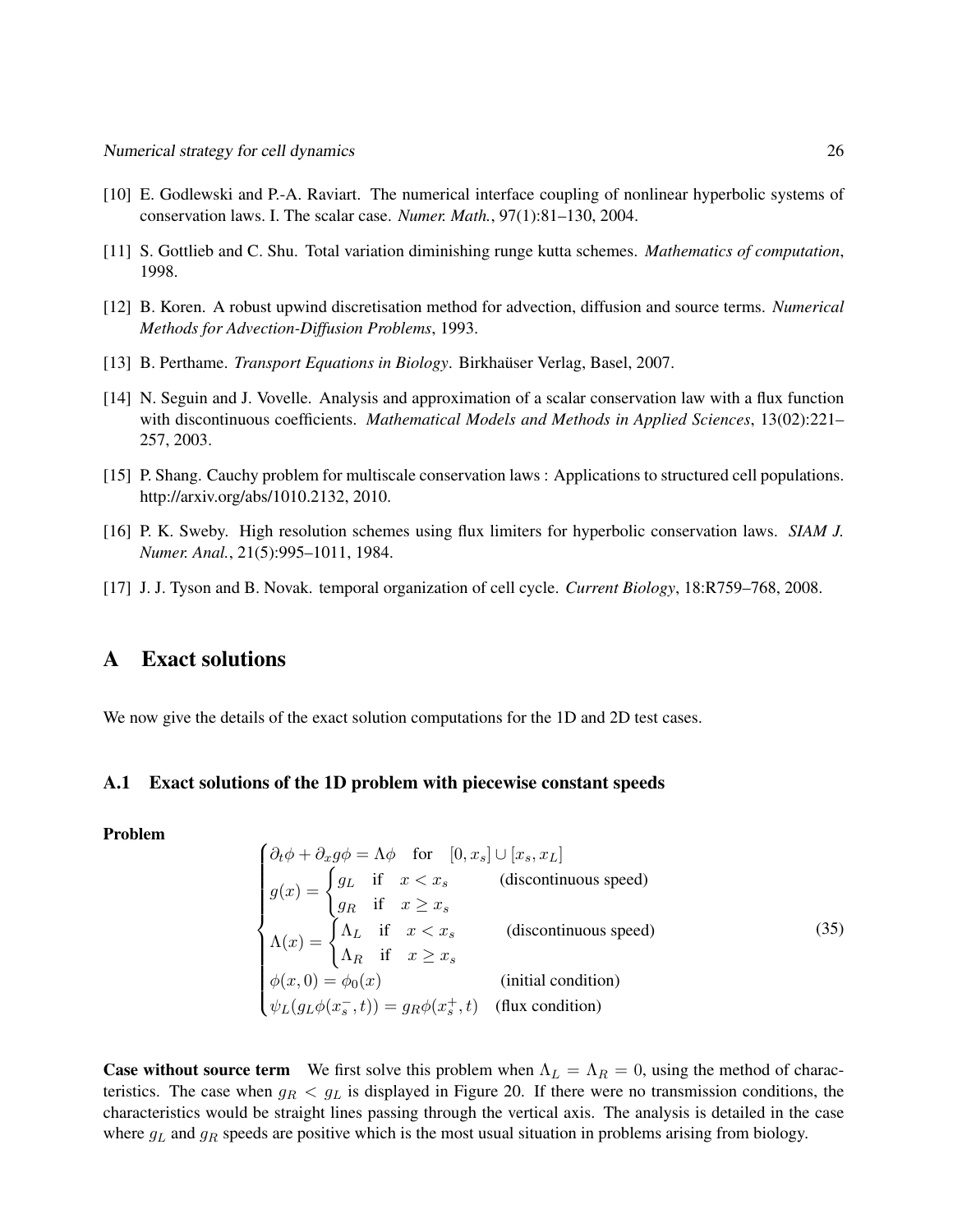- [10] E. Godlewski and P.-A. Raviart. The numerical interface coupling of nonlinear hyperbolic systems of conservation laws. I. The scalar case. *Numer. Math.*, 97(1):81–130, 2004.
- [11] S. Gottlieb and C. Shu. Total variation diminishing runge kutta schemes. *Mathematics of computation*, 1998.
- [12] B. Koren. A robust upwind discretisation method for advection, diffusion and source terms. *Numerical Methods for Advection-Diffusion Problems*, 1993.
- [13] B. Perthame. *Transport Equations in Biology*. Birkhauser Verlag, Basel, 2007. ¨
- [14] N. Seguin and J. Vovelle. Analysis and approximation of a scalar conservation law with a flux function with discontinuous coefficients. *Mathematical Models and Methods in Applied Sciences*, 13(02):221– 257, 2003.
- [15] P. Shang. Cauchy problem for multiscale conservation laws : Applications to structured cell populations. http://arxiv.org/abs/1010.2132, 2010.
- [16] P. K. Sweby. High resolution schemes using flux limiters for hyperbolic conservation laws. *SIAM J. Numer. Anal.*, 21(5):995–1011, 1984.
- [17] J. J. Tyson and B. Novak. temporal organization of cell cycle. *Current Biology*, 18:R759–768, 2008.

# A Exact solutions

We now give the details of the exact solution computations for the 1D and 2D test cases.

#### A.1 Exact solutions of the 1D problem with piecewise constant speeds

Problem

$$
\begin{cases}\n\partial_t \phi + \partial_x g \phi = \Lambda \phi & \text{for} \quad [0, x_s] \cup [x_s, x_L] \\
g(x) = \begin{cases}\ng_L & \text{if} \quad x < x_s \\
g_R & \text{if} \quad x \ge x_s\n\end{cases} & \text{(discontinuous speed)} \\
\Lambda(x) = \begin{cases}\n\Lambda_L & \text{if} \quad x < x_s \\
\Lambda_R & \text{if} \quad x \ge x_s\n\end{cases} & \text{(discontinuous speed)} \\
\phi(x, 0) = \phi_0(x) & \text{(initial condition)} \\
\psi_L(g_L \phi(x_s^- , t)) = g_R \phi(x_s^+ , t) & \text{(flux condition)}\n\end{cases}
$$
\n(35)

**Case without source term** We first solve this problem when  $\Lambda_L = \Lambda_R = 0$ , using the method of characteristics. The case when  $g_R < g_L$  is displayed in Figure 20. If there were no transmission conditions, the characteristics would be straight lines passing through the vertical axis. The analysis is detailed in the case where  $g_L$  and  $g_R$  speeds are positive which is the most usual situation in problems arising from biology.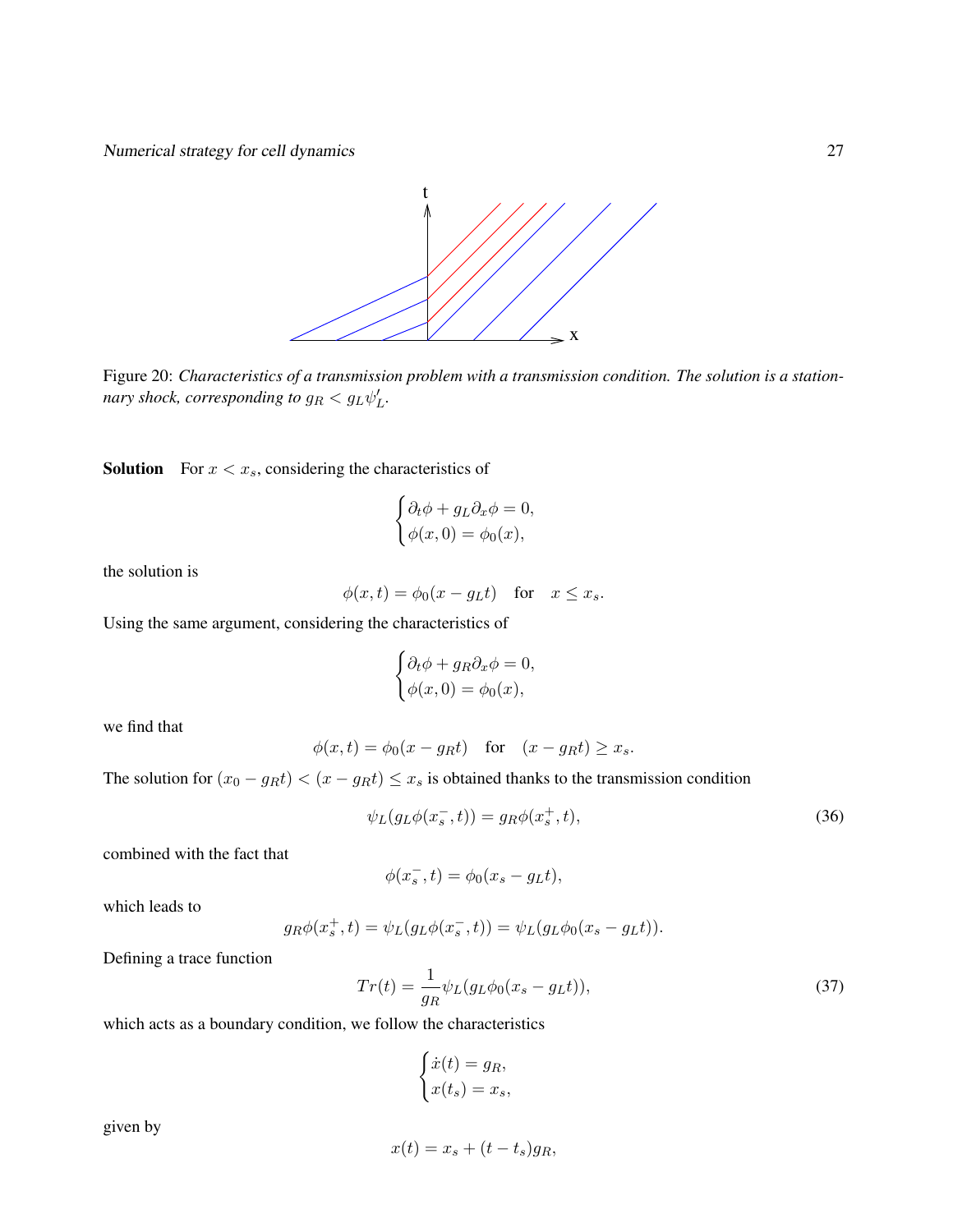

Figure 20: *Characteristics of a transmission problem with a transmission condition. The solution is a stationnary shock, corresponding to*  $g_R < g_L \psi_L'$ .

**Solution** For  $x < x_s$ , considering the characteristics of

$$
\begin{cases} \partial_t \phi + g_L \partial_x \phi = 0, \\ \phi(x, 0) = \phi_0(x), \end{cases}
$$

the solution is

$$
\phi(x,t) = \phi_0(x - g_L t) \quad \text{for} \quad x \le x_s.
$$

Using the same argument, considering the characteristics of

$$
\begin{cases} \partial_t \phi + g_R \partial_x \phi = 0, \\ \phi(x, 0) = \phi_0(x), \end{cases}
$$

we find that

$$
\phi(x,t) = \phi_0(x - g_R t) \quad \text{for} \quad (x - g_R t) \ge x_s.
$$

The solution for  $(x_0 - g_R t) < (x - g_R t) \le x_s$  is obtained thanks to the transmission condition

$$
\psi_L(g_L\phi(x_s^-,t)) = g_R\phi(x_s^+,t),\tag{36}
$$

combined with the fact that

$$
\phi(x_s^-,t) = \phi_0(x_s - g_L t),
$$

which leads to

$$
g_R \phi(x_s^+, t) = \psi_L(g_L \phi(x_s^-, t)) = \psi_L(g_L \phi_0(x_s - g_L t)).
$$

Defining a trace function

$$
Tr(t) = \frac{1}{g_R} \psi_L (g_L \phi_0 (x_s - g_L t)),
$$
\n(37)

which acts as a boundary condition, we follow the characteristics

$$
\begin{cases} \dot{x}(t) = g_R, \\ x(t_s) = x_s, \end{cases}
$$

given by

$$
x(t) = x_s + (t - t_s)g_R,
$$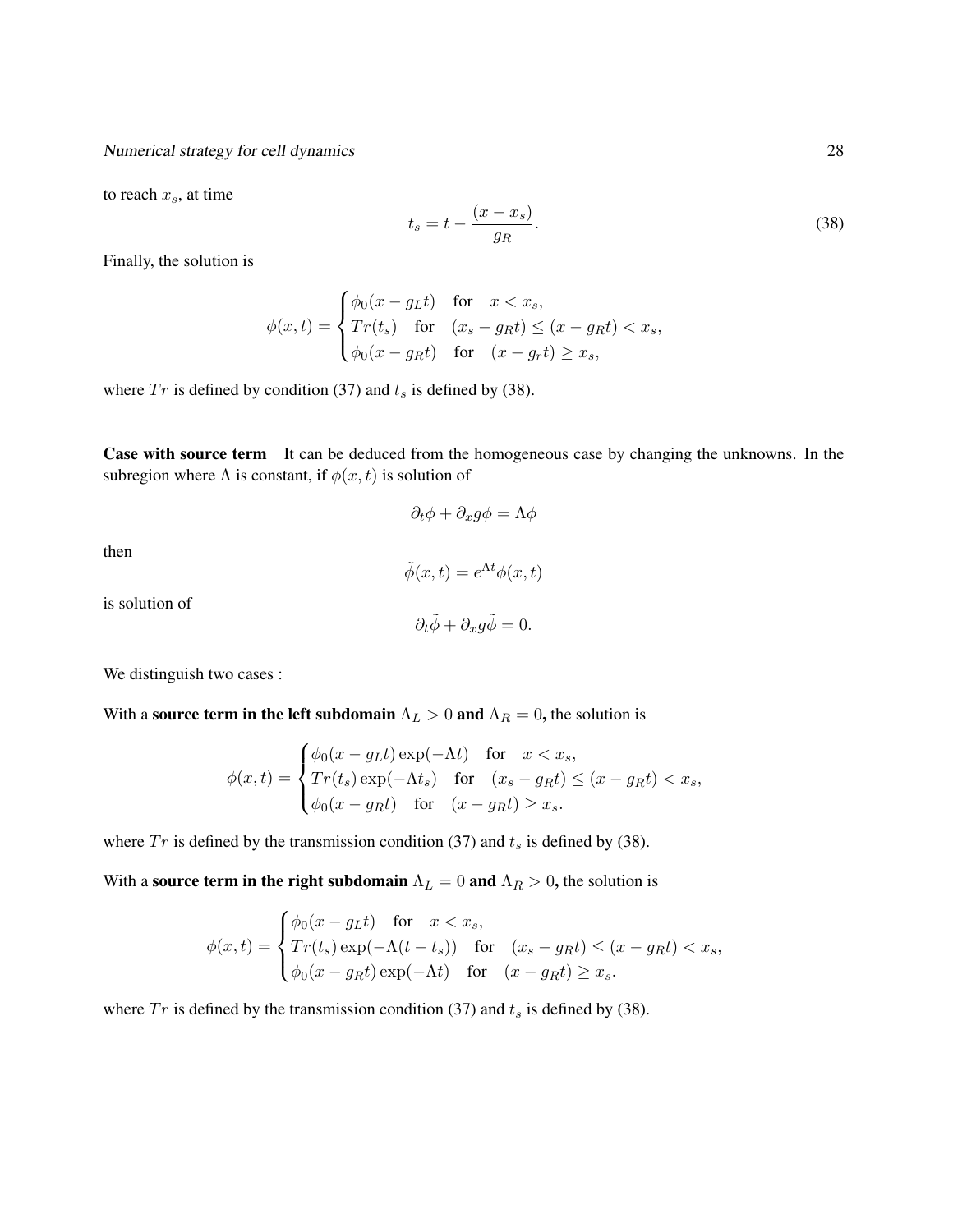to reach  $x_s$ , at time

 $t_s = t - \frac{(x - x_s)}{s}$  $g_R$ .  $(38)$ 

Finally, the solution is

$$
\phi(x,t) = \begin{cases} \phi_0(x - g_L t) & \text{for } x < x_s, \\ Tr(t_s) & \text{for } (x_s - g_R t) \le (x - g_R t) < x_s, \\ \phi_0(x - g_R t) & \text{for } (x - g_r t) \ge x_s, \end{cases}
$$

where  $Tr$  is defined by condition (37) and  $t_s$  is defined by (38).

Case with source term It can be deduced from the homogeneous case by changing the unknowns. In the subregion where  $\Lambda$  is constant, if  $\phi(x, t)$  is solution of

 $\partial_t \phi + \partial_x g \phi = \Lambda \phi$ 

then

$$
\tilde{\phi}(x,t) = e^{\Lambda t} \phi(x,t)
$$

is solution of

$$
\partial_t \tilde \phi + \partial_x g \tilde \phi = 0.
$$

We distinguish two cases :

With a source term in the left subdomain  $\Lambda_L > 0$  and  $\Lambda_R = 0$ , the solution is

$$
\phi(x,t) = \begin{cases} \phi_0(x - g_L t) \exp(-\Lambda t) & \text{for} \quad x < x_s, \\ Tr(t_s) \exp(-\Lambda t_s) & \text{for} \quad (x_s - g_R t) \le (x - g_R t) < x_s, \\ \phi_0(x - g_R t) & \text{for} \quad (x - g_R t) \ge x_s. \end{cases}
$$

where  $Tr$  is defined by the transmission condition (37) and  $t_s$  is defined by (38).

With a source term in the right subdomain  $\Lambda_L = 0$  and  $\Lambda_R > 0$ , the solution is

$$
\phi(x,t) = \begin{cases} \phi_0(x - g_L t) & \text{for } x < x_s, \\ Tr(t_s) \exp(-\Lambda(t - t_s)) & \text{for } (x_s - g_R t) \le (x - g_R t) < x_s, \\ \phi_0(x - g_R t) \exp(-\Lambda t) & \text{for } (x - g_R t) \ge x_s. \end{cases}
$$

where  $Tr$  is defined by the transmission condition (37) and  $t_s$  is defined by (38).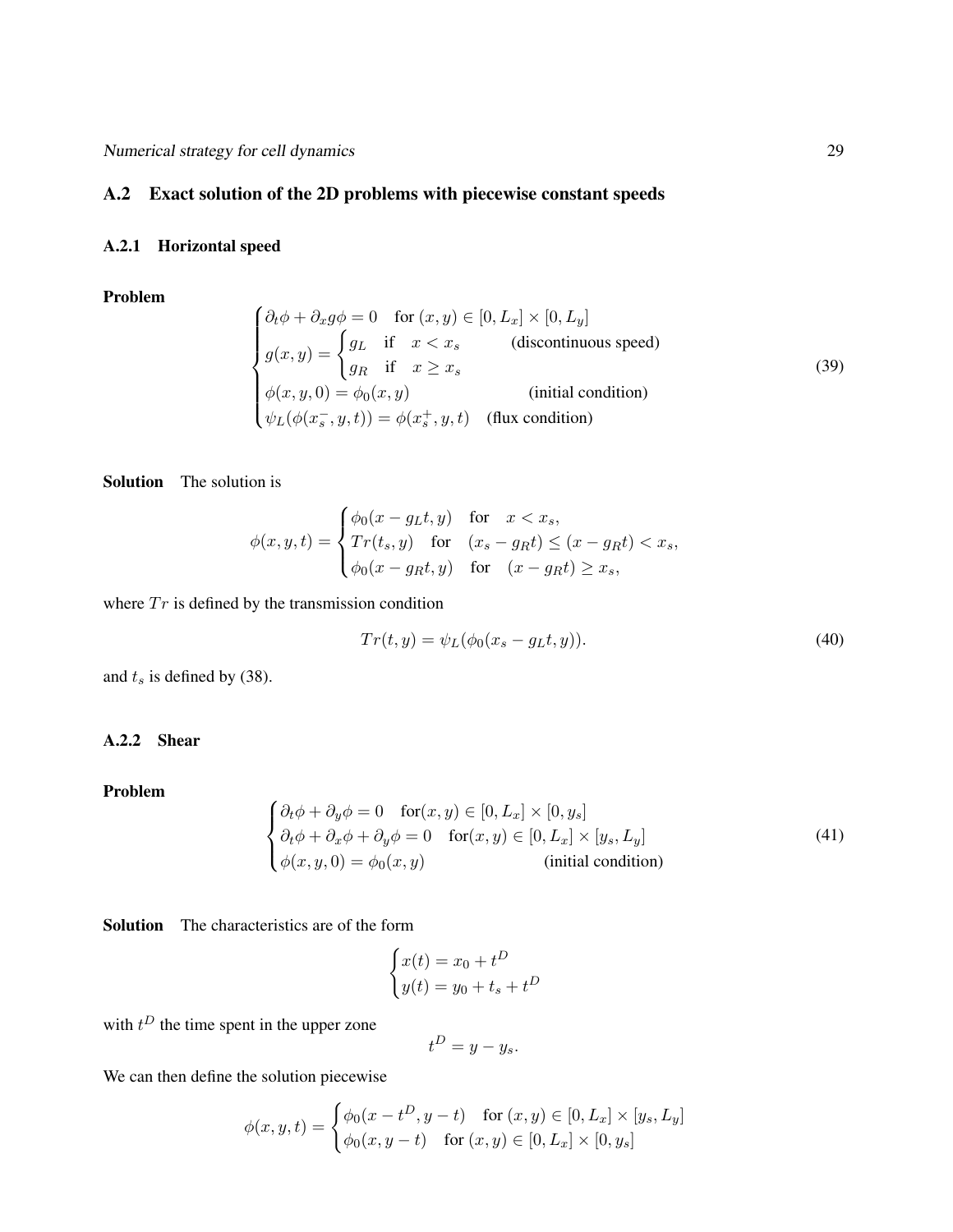# A.2 Exact solution of the 2D problems with piecewise constant speeds

### A.2.1 Horizontal speed

Problem

$$
\begin{cases}\n\partial_t \phi + \partial_x g \phi = 0 & \text{for } (x, y) \in [0, L_x] \times [0, L_y] \\
g(x, y) = \begin{cases}\ng_L & \text{if } x < x_s \\
g_R & \text{if } x \ge x_s\n\end{cases} & \text{(discontinuous speed)} \\
\phi(x, y, 0) = \phi_0(x, y) & \text{(initial condition)} \\
\psi_L(\phi(x_s^-, y, t)) = \phi(x_s^+, y, t) & \text{(flux condition)}\n\end{cases}
$$
\n(39)

Solution The solution is

$$
\phi(x, y, t) = \begin{cases} \phi_0(x - g_L t, y) & \text{for } x < x_s, \\ Tr(t_s, y) & \text{for } (x_s - g_R t) \le (x - g_R t) < x_s, \\ \phi_0(x - g_R t, y) & \text{for } (x - g_R t) \ge x_s, \end{cases}
$$

where  $Tr$  is defined by the transmission condition

$$
Tr(t, y) = \psi_L(\phi_0(x_s - g_L t, y)).
$$
\n
$$
(40)
$$

and  $t_s$  is defined by (38).

## A.2.2 Shear

Problem

$$
\begin{cases}\n\partial_t \phi + \partial_y \phi = 0 & \text{for}(x, y) \in [0, L_x] \times [0, y_s] \\
\partial_t \phi + \partial_x \phi + \partial_y \phi = 0 & \text{for}(x, y) \in [0, L_x] \times [y_s, L_y] \\
\phi(x, y, 0) = \phi_0(x, y) & \text{(initial condition)}\n\end{cases}
$$
\n(41)

Solution The characteristics are of the form

$$
\begin{cases} x(t) = x_0 + t^D \\ y(t) = y_0 + t_s + t^D \end{cases}
$$

with  $t^D$  the time spent in the upper zone

$$
t^D = y - y_s.
$$

We can then define the solution piecewise

$$
\phi(x, y, t) = \begin{cases} \phi_0(x - t^D, y - t) & \text{for } (x, y) \in [0, L_x] \times [y_s, L_y] \\ \phi_0(x, y - t) & \text{for } (x, y) \in [0, L_x] \times [0, y_s] \end{cases}
$$